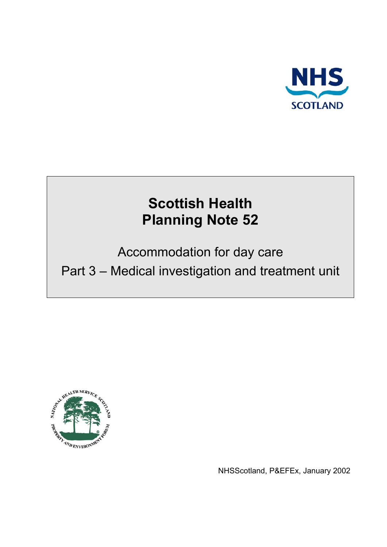

# **Scottish Health Planning Note 52**

Accommodation for day care Part 3 – Medical investigation and treatment unit



NHSScotland, P&EFEx, January 2002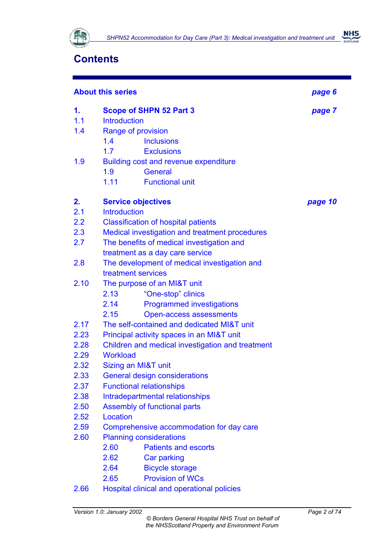

# **Contents**

| <b>About this series</b>     |                                                                                                                                                      | page 6  |  |  |
|------------------------------|------------------------------------------------------------------------------------------------------------------------------------------------------|---------|--|--|
| $\mathbf{1}$ .<br>1.1<br>1.4 | <b>Scope of SHPN 52 Part 3</b><br>page 7<br><b>Introduction</b><br><b>Range of provision</b><br><b>Inclusions</b><br>1.4<br><b>Exclusions</b><br>1.7 |         |  |  |
| 1.9                          | Building cost and revenue expenditure<br>1.9<br>General<br><b>Functional unit</b><br>1.11                                                            |         |  |  |
| 2.                           | <b>Service objectives</b>                                                                                                                            | page 10 |  |  |
| 2.1                          | <b>Introduction</b>                                                                                                                                  |         |  |  |
| 2.2                          | <b>Classification of hospital patients</b>                                                                                                           |         |  |  |
| 2.3                          | Medical investigation and treatment procedures                                                                                                       |         |  |  |
| 2.7                          | The benefits of medical investigation and                                                                                                            |         |  |  |
|                              | treatment as a day care service                                                                                                                      |         |  |  |
| 2.8                          | The development of medical investigation and                                                                                                         |         |  |  |
|                              | treatment services                                                                                                                                   |         |  |  |
| 2.10                         | The purpose of an MI&T unit                                                                                                                          |         |  |  |
|                              | 2.13<br>"One-stop" clinics                                                                                                                           |         |  |  |
|                              | <b>Programmed investigations</b><br>2.14                                                                                                             |         |  |  |
|                              | <b>Open-access assessments</b><br>2.15                                                                                                               |         |  |  |
| 2.17                         | The self-contained and dedicated MI&T unit                                                                                                           |         |  |  |
| 2.23                         | Principal activity spaces in an MI&T unit                                                                                                            |         |  |  |
| 2.28                         | Children and medical investigation and treatment                                                                                                     |         |  |  |
| 2.29                         | Workload                                                                                                                                             |         |  |  |
| 2.32                         | Sizing an MI&T unit                                                                                                                                  |         |  |  |
| 2.33                         | <b>General design considerations</b>                                                                                                                 |         |  |  |
| 2.37                         | <b>Functional relationships</b>                                                                                                                      |         |  |  |
| 2.38                         | Intradepartmental relationships                                                                                                                      |         |  |  |
| 2.50                         | <b>Assembly of functional parts</b>                                                                                                                  |         |  |  |
| 2.52                         | Location                                                                                                                                             |         |  |  |
| 2.59                         | Comprehensive accommodation for day care                                                                                                             |         |  |  |
| 2.60                         | <b>Planning considerations</b>                                                                                                                       |         |  |  |
|                              | 2.60<br><b>Patients and escorts</b>                                                                                                                  |         |  |  |
|                              | 2.62<br><b>Car parking</b>                                                                                                                           |         |  |  |
|                              | 2.64<br><b>Bicycle storage</b>                                                                                                                       |         |  |  |
|                              | <b>Provision of WCs</b><br>2.65                                                                                                                      |         |  |  |
| 2.66                         | Hospital clinical and operational policies                                                                                                           |         |  |  |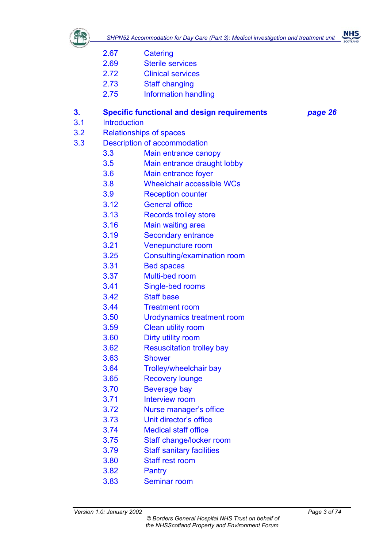



- [2.69 Sterile services](#page-22-0)
- [2.72 Clinical services](#page-22-0)
- [2.73 Staff changing](#page-23-0)
- [2.75 Information handling](#page-23-0)

#### **[3. Specific functional and design requirements](#page-25-0)** *page 26*

- [3.1 Introduction](#page-25-0)
- [3.2 Relationships of spaces](#page-25-0)
- [3.3 Description of accommodation](#page-25-0) 
	- [3.3 Main entrance canopy](#page-25-0) 
		- [3.5 Main entrance draught lobby](#page-25-0)
	- [3.6 Main entrance foyer](#page-27-0)
	- [3.8 Wheelchair accessible WCs](#page-27-0)
	- [3.9 Reception counter](#page-27-0)
	- [3.12 General office](#page-28-0)
	- [3.13 Records trolley store](#page-28-0)
	- [3.16 Main waiting area](#page-28-0)
	- [3.19 Secondary entrance](#page-29-0)
	- [3.21 Venepuncture room](#page-29-0)
	- [3.25 Consulting/examination room](#page-30-0)
	- [3.31 Bed spaces](#page-31-0)
	- [3.37 Multi-bed room](#page-32-0)
	- [3.41 Single-bed rooms](#page-33-0)
	- [3.42 Staff base](#page-33-0)
	- [3.44 Treatment room](#page-33-0)
	- [3.50 Urodynamics treatment room](#page-34-0)
	- [3.59 Clean utility room](#page-35-0)
	- [3.60 Dirty utility room](#page-35-0)
	- [3.62 Resuscitation trolley bay](#page-36-0)
	- [3.63 Shower](#page-36-0)
	- [3.64 Trolley/wheelchair bay](#page-36-0)
	- [3.65 Recovery lounge](#page-36-0)
	- [3.70 Beverage bay](#page-37-0)
	- [3.71 Interview room](#page-37-0)
	- [3.72 Nurse manager's office](#page-38-0)
	- [3.73 Unit director's office](#page-38-0)
	- [3.74 Medical staff office](#page-38-0)
	- [3.75 Staff change/locker room](#page-38-0)
	- [3.79 Staff sanitary facilities](#page-38-0)
	- [3.80 Staff rest room](#page-39-0)
	- [3.82 Pantry](#page-39-0)
	- [3.83 Seminar room](#page-39-0)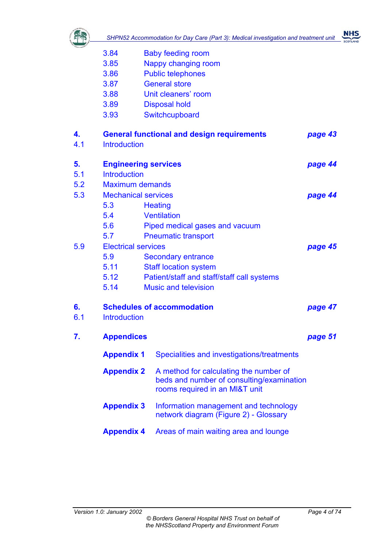

| <b>Showare</b> | 3.84                       | <b>Baby feeding room</b>                                                                                              |         |  |  |
|----------------|----------------------------|-----------------------------------------------------------------------------------------------------------------------|---------|--|--|
|                | 3.85                       | Nappy changing room                                                                                                   |         |  |  |
|                | 3.86                       | <b>Public telephones</b>                                                                                              |         |  |  |
|                | 3.87                       | <b>General store</b>                                                                                                  |         |  |  |
|                | 3.88                       | Unit cleaners' room                                                                                                   |         |  |  |
|                | 3.89                       | <b>Disposal hold</b>                                                                                                  |         |  |  |
|                | 3.93                       | Switchcupboard                                                                                                        |         |  |  |
| 4.             |                            | <b>General functional and design requirements</b>                                                                     | page 43 |  |  |
| 4.1            | <b>Introduction</b>        |                                                                                                                       |         |  |  |
| 5.             |                            | <b>Engineering services</b>                                                                                           | page 44 |  |  |
| 5.1            | <b>Introduction</b>        |                                                                                                                       |         |  |  |
| 5.2            |                            | <b>Maximum demands</b>                                                                                                |         |  |  |
| 5.3            |                            | <b>Mechanical services</b>                                                                                            |         |  |  |
|                | 5.3                        | <b>Heating</b>                                                                                                        |         |  |  |
|                | 5.4                        | <b>Ventilation</b>                                                                                                    |         |  |  |
|                | 5.6                        | Piped medical gases and vacuum                                                                                        |         |  |  |
|                | 5.7                        | <b>Pneumatic transport</b>                                                                                            |         |  |  |
| 5.9            | <b>Electrical services</b> |                                                                                                                       | page 45 |  |  |
|                | 5.9                        | <b>Secondary entrance</b>                                                                                             |         |  |  |
|                | 5.11                       | <b>Staff location system</b>                                                                                          |         |  |  |
|                | 5.12                       | Patient/staff and staff/staff call systems                                                                            |         |  |  |
|                | 5.14                       | <b>Music and television</b>                                                                                           |         |  |  |
| 6.             |                            | <b>Schedules of accommodation</b>                                                                                     | page 47 |  |  |
| 6.1            | <b>Introduction</b>        |                                                                                                                       |         |  |  |
| 7.             | <b>Appendices</b>          |                                                                                                                       | page 51 |  |  |
|                | <b>Appendix 1</b>          | Specialities and investigations/treatments                                                                            |         |  |  |
|                | <b>Appendix 2</b>          | A method for calculating the number of<br>beds and number of consulting/examination<br>rooms required in an MI&T unit |         |  |  |
|                | <b>Appendix 3</b>          | Information management and technology<br>network diagram (Figure 2) - Glossary                                        |         |  |  |
|                | <b>Appendix 4</b>          | Areas of main waiting area and lounge                                                                                 |         |  |  |

**NHS**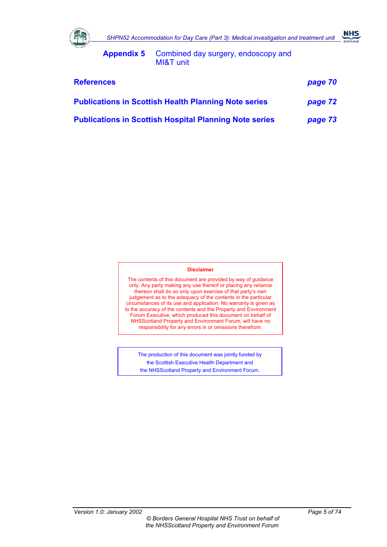

**Appendix 5** [Combined day surgery, endoscopy and](#page-66-0)  MI&T unit

| <b>References</b>                                             | page 70 |
|---------------------------------------------------------------|---------|
| <b>Publications in Scottish Health Planning Note series</b>   | page 72 |
| <b>Publications in Scottish Hospital Planning Note series</b> | page 73 |

#### **Disclaimer**

The contents of this document are provided by way of guidance only. Any party making any use thereof or placing any reliance thereon shall do so only upon exercise of that party's own judgement as to the adequacy of the contents in the particular circumstances of its use and application. No warranty is given as to the accuracy of the contents and the Property and Environment Forum Executive, which produced this document on behalf of NHSScotland Property and Environment Forum, will have no responsibility for any errors in or omissions therefrom.

The production of this document was jointly funded by the Scottish Executive Health Department and the NHSScotland Property and Environment Forum.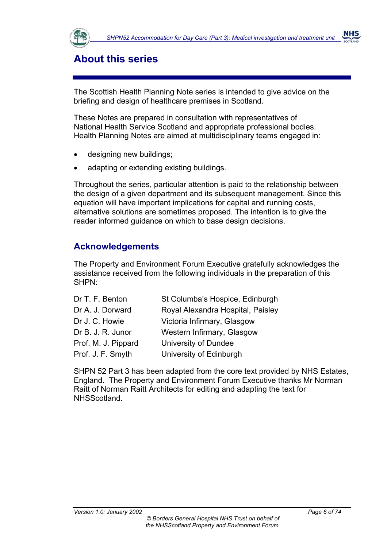<span id="page-5-0"></span>

# **About this series**

The Scottish Health Planning Note series is intended to give advice on the briefing and design of healthcare premises in Scotland.

These Notes are prepared in consultation with representatives of National Health Service Scotland and appropriate professional bodies. Health Planning Notes are aimed at multidisciplinary teams engaged in:

- designing new buildings;
- adapting or extending existing buildings.

Throughout the series, particular attention is paid to the relationship between the design of a given department and its subsequent management. Since this equation will have important implications for capital and running costs, alternative solutions are sometimes proposed. The intention is to give the reader informed guidance on which to base design decisions.

# **Acknowledgements**

The Property and Environment Forum Executive gratefully acknowledges the assistance received from the following individuals in the preparation of this SHPN:

| Dr T. F. Benton     | St Columba's Hospice, Edinburgh   |
|---------------------|-----------------------------------|
| Dr A. J. Dorward    | Royal Alexandra Hospital, Paisley |
| Dr J. C. Howie      | Victoria Infirmary, Glasgow       |
| Dr B. J. R. Junor   | Western Infirmary, Glasgow        |
| Prof. M. J. Pippard | University of Dundee              |
| Prof. J. F. Smyth   | University of Edinburgh           |
|                     |                                   |

SHPN 52 Part 3 has been adapted from the core text provided by NHS Estates, England. The Property and Environment Forum Executive thanks Mr Norman Raitt of Norman Raitt Architects for editing and adapting the text for **NHSScotland**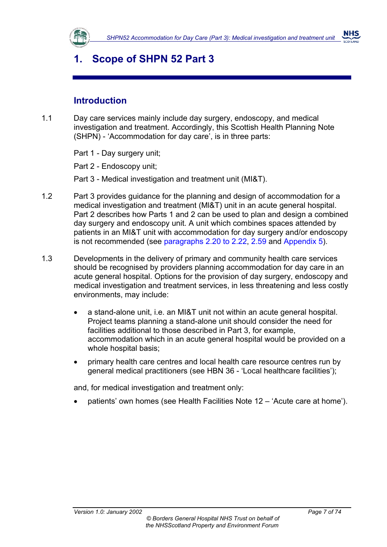<span id="page-6-0"></span>

# **1. Scope of SHPN 52 Part 3**

## **Introduction**

1.1 Day care services mainly include day surgery, endoscopy, and medical investigation and treatment. Accordingly, this Scottish Health Planning Note (SHPN) - 'Accommodation for day care', is in three parts:

Part 1 - Day surgery unit;

Part 2 - Endoscopy unit;

Part 3 - Medical investigation and treatment unit (MI&T).

- 1.2 Part 3 provides guidance for the planning and design of accommodation for a medical investigation and treatment (Ml&T) unit in an acute general hospital. Part 2 describes how Parts 1 and 2 can be used to plan and design a combined day surgery and endoscopy unit. A unit which combines spaces attended by patients in an MI&T unit with accommodation for day surgery and/or endoscopy is not recommended (see [paragraphs 2.20 to 2.22,](#page-13-0) [2.59](#page-20-0) and [Appendix 5\)](#page-66-0).
- 1.3 Developments in the delivery of primary and community health care services should be recognised by providers planning accommodation for day care in an acute general hospital. Options for the provision of day surgery, endoscopy and medical investigation and treatment services, in less threatening and less costly environments, may include:
	- a stand-alone unit, i.e. an MI&T unit not within an acute general hospital. Project teams planning a stand-alone unit should consider the need for facilities additional to those described in Part 3, for example, accommodation which in an acute general hospital would be provided on a whole hospital basis;
	- primary health care centres and local health care resource centres run by general medical practitioners (see HBN 36 - 'Local healthcare facilities');

and, for medical investigation and treatment only:

• patients' own homes (see Health Facilities Note 12 – 'Acute care at home').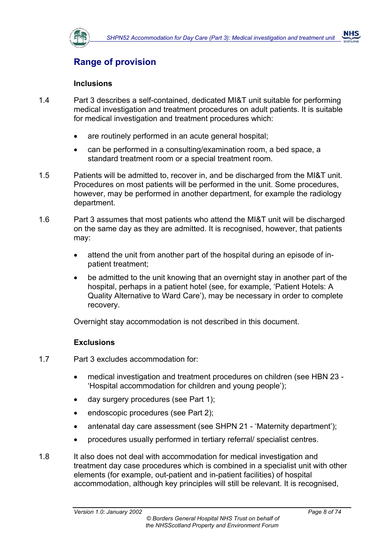<span id="page-7-0"></span>

# **Range of provision**

#### **Inclusions**

- 1.4 Part 3 describes a self-contained, dedicated MI&T unit suitable for performing medical investigation and treatment procedures on adult patients. It is suitable for medical investigation and treatment procedures which:
	- are routinely performed in an acute general hospital;
	- can be performed in a consulting/examination room, a bed space, a standard treatment room or a special treatment room.
- 1.5 Patients will be admitted to, recover in, and be discharged from the MI&T unit. Procedures on most patients will be performed in the unit. Some procedures, however, may be performed in another department, for example the radiology department.
- 1.6 Part 3 assumes that most patients who attend the MI&T unit will be discharged on the same day as they are admitted. It is recognised, however, that patients may:
	- attend the unit from another part of the hospital during an episode of inpatient treatment;
	- be admitted to the unit knowing that an overnight stay in another part of the hospital, perhaps in a patient hotel (see, for example, 'Patient Hotels: A Quality Alternative to Ward Care'), may be necessary in order to complete recovery.

Overnight stay accommodation is not described in this document.

#### **Exclusions**

- 1.7 Part 3 excludes accommodation for:
	- medical investigation and treatment procedures on children (see HBN 23 'Hospital accommodation for children and young people');
	- day surgery procedures (see Part 1);
	- endoscopic procedures (see Part 2);
	- antenatal day care assessment (see SHPN 21 'Maternity department');
	- procedures usually performed in tertiary referral/ specialist centres.
- 1.8 It also does not deal with accommodation for medical investigation and treatment day case procedures which is combined in a specialist unit with other elements (for example, out-patient and in-patient facilities) of hospital accommodation, although key principles will still be relevant. It is recognised,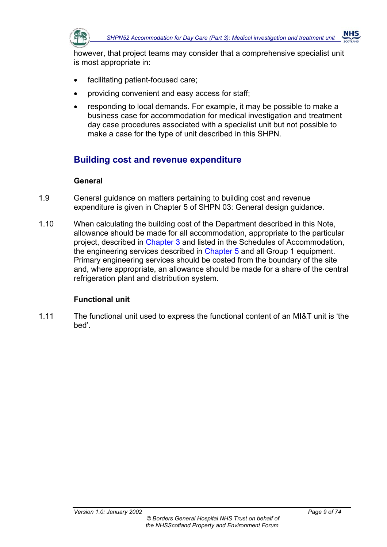<span id="page-8-0"></span>

however, that project teams may consider that a comprehensive specialist unit is most appropriate in:

- facilitating patient-focused care;
- providing convenient and easy access for staff;
- responding to local demands. For example, it may be possible to make a business case for accommodation for medical investigation and treatment day case procedures associated with a specialist unit but not possible to make a case for the type of unit described in this SHPN.

# **Building cost and revenue expenditure**

#### **General**

- 1.9 General guidance on matters pertaining to building cost and revenue expenditure is given in Chapter 5 of SHPN 03: General design guidance.
- 1.10 When calculating the building cost of the Department described in this Note, allowance should be made for all accommodation, appropriate to the particular project, described in [Chapter 3](#page-25-0) and listed in the Schedules of Accommodation, the engineering services described in [Chapter 5](#page-43-0) and all Group 1 equipment. Primary engineering services should be costed from the boundary of the site and, where appropriate, an allowance should be made for a share of the central refrigeration plant and distribution system.

## **Functional unit**

1.11 The functional unit used to express the functional content of an MI&T unit is 'the bed'.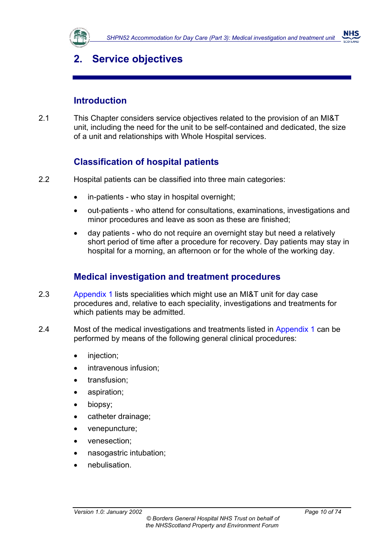<span id="page-9-0"></span>

# **2. Service objectives**

# **Introduction**

2.1 This Chapter considers service objectives related to the provision of an MI&T unit, including the need for the unit to be self-contained and dedicated, the size of a unit and relationships with Whole Hospital services.

# **Classification of hospital patients**

- 2.2 Hospital patients can be classified into three main categories:
	- in-patients who stay in hospital overnight;
	- out-patients who attend for consultations, examinations, investigations and minor procedures and leave as soon as these are finished;
	- day patients who do not require an overnight stay but need a relatively short period of time after a procedure for recovery. Day patients may stay in hospital for a morning, an afternoon or for the whole of the working day.

# **Medical investigation and treatment procedures**

- 2.3 [Appendix 1](#page-51-0) lists specialities which might use an MI&T unit for day case procedures and, relative to each speciality, investigations and treatments for which patients may be admitted.
- 2.4 Most of the medical investigations and treatments listed in [Appendix 1](#page-51-0) can be performed by means of the following general clinical procedures:
	- injection;
	- intravenous infusion;
	- transfusion;
	- aspiration;
	- biopsy;
	- catheter drainage;
	- venepuncture;
	- venesection;
	- nasogastric intubation;
	- nebulisation.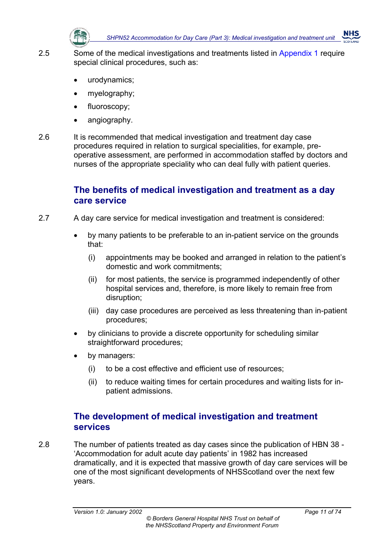

<span id="page-10-0"></span>2.5 Some of the medical investigations and treatments listed in [Appendix 1](#page-51-0) require special clinical procedures, such as:

- urodynamics:
- myelography;
- fluoroscopy;
- angiography.
- 2.6 It is recommended that medical investigation and treatment day case procedures required in relation to surgical specialities, for example, preoperative assessment, are performed in accommodation staffed by doctors and nurses of the appropriate speciality who can deal fully with patient queries.

# **The benefits of medical investigation and treatment as a day care service**

- 2.7 A day care service for medical investigation and treatment is considered:
	- by many patients to be preferable to an in-patient service on the grounds that:
		- (i) appointments may be booked and arranged in relation to the patient's domestic and work commitments;
		- (ii) for most patients, the service is programmed independently of other hospital services and, therefore, is more likely to remain free from disruption;
		- (iii) day case procedures are perceived as less threatening than in-patient procedures;
	- by clinicians to provide a discrete opportunity for scheduling similar straightforward procedures;
	- by managers:
		- (i) to be a cost effective and efficient use of resources;
		- (ii) to reduce waiting times for certain procedures and waiting lists for inpatient admissions.

# **The development of medical investigation and treatment services**

2.8 The number of patients treated as day cases since the publication of HBN 38 - 'Accommodation for adult acute day patients' in 1982 has increased dramatically, and it is expected that massive growth of day care services will be one of the most significant developments of NHSScotland over the next few years.

*Version 1.0: January 2002 Page 11 of 74*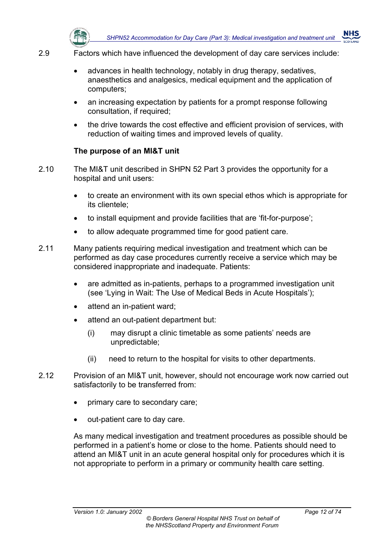

#### <span id="page-11-0"></span>2.9 Factors which have influenced the development of day care services include:

- advances in health technology, notably in drug therapy, sedatives, anaesthetics and analgesics, medical equipment and the application of computers;
- an increasing expectation by patients for a prompt response following consultation, if required;
- the drive towards the cost effective and efficient provision of services, with reduction of waiting times and improved levels of quality.

#### **The purpose of an MI&T unit**

- 2.10 The MI&T unit described in SHPN 52 Part 3 provides the opportunity for a hospital and unit users:
	- to create an environment with its own special ethos which is appropriate for its clientele;
	- to install equipment and provide facilities that are 'fit-for-purpose';
	- to allow adequate programmed time for good patient care.
- 2.11 Many patients requiring medical investigation and treatment which can be performed as day case procedures currently receive a service which may be considered inappropriate and inadequate. Patients:
	- are admitted as in-patients, perhaps to a programmed investigation unit (see 'Lying in Wait: The Use of Medical Beds in Acute Hospitals');
	- attend an in-patient ward;
	- attend an out-patient department but:
		- (i) may disrupt a clinic timetable as some patients' needs are unpredictable;
		- (ii) need to return to the hospital for visits to other departments.
- 2.12 Provision of an MI&T unit, however, should not encourage work now carried out satisfactorily to be transferred from:
	- primary care to secondary care;
	- out-patient care to day care.

As many medical investigation and treatment procedures as possible should be performed in a patient's home or close to the home. Patients should need to attend an MI&T unit in an acute general hospital only for procedures which it is not appropriate to perform in a primary or community health care setting.

*Version 1.0: January 2002 Page 12 of 74*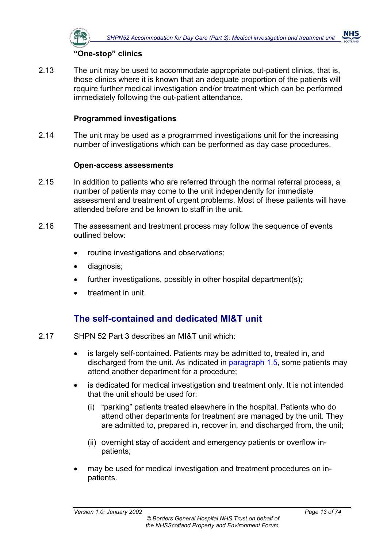<span id="page-12-0"></span>

#### **"One-stop" clinics**

2.13 The unit may be used to accommodate appropriate out-patient clinics, that is, those clinics where it is known that an adequate proportion of the patients will require further medical investigation and/or treatment which can be performed immediately following the out-patient attendance.

#### **Programmed investigations**

2.14 The unit may be used as a programmed investigations unit for the increasing number of investigations which can be performed as day case procedures.

#### **Open-access assessments**

- 2.15 In addition to patients who are referred through the normal referral process, a number of patients may come to the unit independently for immediate assessment and treatment of urgent problems. Most of these patients will have attended before and be known to staff in the unit.
- 2.16 The assessment and treatment process may follow the sequence of events outlined below:
	- routine investigations and observations;
	- diagnosis;
	- further investigations, possibly in other hospital department(s);
	- treatment in unit.

## **The self-contained and dedicated MI&T unit**

- 2.17 SHPN 52 Part 3 describes an MI&T unit which:
	- is largely self-contained. Patients may be admitted to, treated in, and discharged from the unit. As indicated in [paragraph 1.5,](#page-7-0) some patients may attend another department for a procedure;
	- is dedicated for medical investigation and treatment only. It is not intended that the unit should be used for:
		- (i) "parking" patients treated elsewhere in the hospital. Patients who do attend other departments for treatment are managed by the unit. They are admitted to, prepared in, recover in, and discharged from, the unit;
		- (ii) overnight stay of accident and emergency patients or overflow inpatients;
	- may be used for medical investigation and treatment procedures on inpatients.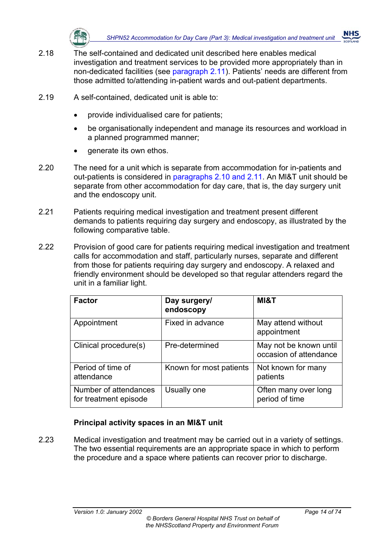

- <span id="page-13-0"></span>2.18 The self-contained and dedicated unit described here enables medical investigation and treatment services to be provided more appropriately than in non-dedicated facilities (see [paragraph 2.11\)](#page-11-0). Patients' needs are different from those admitted to/attending in-patient wards and out-patient departments.
- 2.19 A self-contained, dedicated unit is able to:
	- provide individualised care for patients;
	- be organisationally independent and manage its resources and workload in a planned programmed manner;
	- generate its own ethos.
- 2.20 The need for a unit which is separate from accommodation for in-patients and out-patients is considered in [paragraphs 2.10 and 2.11.](#page-11-0) An Ml&T unit should be separate from other accommodation for day care, that is, the day surgery unit and the endoscopy unit.
- 2.21 Patients requiring medical investigation and treatment present different demands to patients requiring day surgery and endoscopy, as illustrated by the following comparative table.
- 2.22 Provision of good care for patients requiring medical investigation and treatment calls for accommodation and staff, particularly nurses, separate and different from those for patients requiring day surgery and endoscopy. A relaxed and friendly environment should be developed so that regular attenders regard the unit in a familiar light.

| <b>Factor</b>                                  | Day surgery/<br>endoscopy | MI&T                                             |
|------------------------------------------------|---------------------------|--------------------------------------------------|
| Appointment                                    | Fixed in advance          | May attend without<br>appointment                |
| Clinical procedure(s)                          | Pre-determined            | May not be known until<br>occasion of attendance |
| Period of time of<br>attendance                | Known for most patients   | Not known for many<br>patients                   |
| Number of attendances<br>for treatment episode | Usually one               | Often many over long<br>period of time           |

## **Principal activity spaces in an MI&T unit**

2.23 Medical investigation and treatment may be carried out in a variety of settings. The two essential requirements are an appropriate space in which to perform the procedure and a space where patients can recover prior to discharge.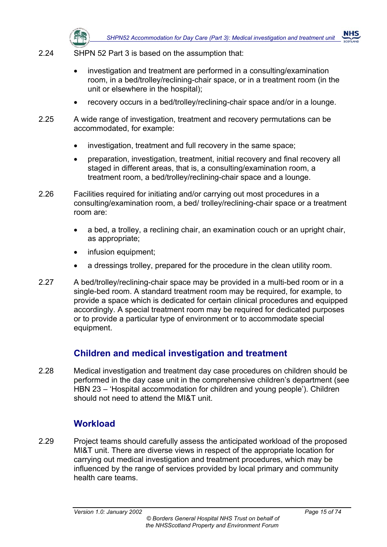

## <span id="page-14-0"></span>2.24 SHPN 52 Part 3 is based on the assumption that:

- investigation and treatment are performed in a consulting/examination room, in a bed/trolley/reclining-chair space, or in a treatment room (in the unit or elsewhere in the hospital);
- recovery occurs in a bed/trolley/reclining-chair space and/or in a lounge.
- 2.25 A wide range of investigation, treatment and recovery permutations can be accommodated, for example:
	- investigation, treatment and full recovery in the same space;
	- preparation, investigation, treatment, initial recovery and final recovery all staged in different areas, that is, a consulting/examination room, a treatment room, a bed/trolley/reclining-chair space and a lounge.
- 2.26 Facilities required for initiating and/or carrying out most procedures in a consulting/examination room, a bed/ trolley/reclining-chair space or a treatment room are:
	- a bed, a trolley, a reclining chair, an examination couch or an upright chair, as appropriate;
	- infusion equipment;
	- a dressings trolley, prepared for the procedure in the clean utility room.
- 2.27 A bed/trolley/reclining-chair space may be provided in a multi-bed room or in a single-bed room. A standard treatment room may be required, for example, to provide a space which is dedicated for certain clinical procedures and equipped accordingly. A special treatment room may be required for dedicated purposes or to provide a particular type of environment or to accommodate special equipment.

# **Children and medical investigation and treatment**

2.28 Medical investigation and treatment day case procedures on children should be performed in the day case unit in the comprehensive children's department (see HBN 23 – 'Hospital accommodation for children and young people'). Children should not need to attend the MI&T unit.

# **Workload**

2.29 Project teams should carefully assess the anticipated workload of the proposed MI&T unit. There are diverse views in respect of the appropriate location for carrying out medical investigation and treatment procedures, which may be influenced by the range of services provided by local primary and community health care teams.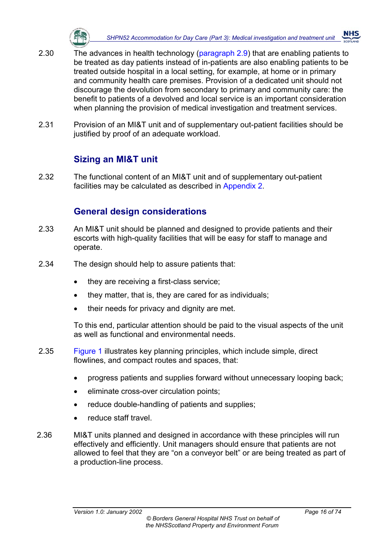

- <span id="page-15-0"></span>2.30 The advances in health technology [\(paragraph 2.9\)](#page-11-0) that are enabling patients to be treated as day patients instead of in-patients are also enabling patients to be treated outside hospital in a local setting, for example, at home or in primary and community health care premises. Provision of a dedicated unit should not discourage the devolution from secondary to primary and community care: the benefit to patients of a devolved and local service is an important consideration when planning the provision of medical investigation and treatment services.
- 2.31 Provision of an MI&T unit and of supplementary out-patient facilities should be justified by proof of an adequate workload.

# **Sizing an MI&T unit**

2.32 The functional content of an MI&T unit and of supplementary out-patient facilities may be calculated as described in [Appendix 2.](#page-55-0)

# **General design considerations**

- 2.33 An MI&T unit should be planned and designed to provide patients and their escorts with high-quality facilities that will be easy for staff to manage and operate.
- 2.34 The design should help to assure patients that:
	- they are receiving a first-class service;
	- they matter, that is, they are cared for as individuals;
	- their needs for privacy and dignity are met.

To this end, particular attention should be paid to the visual aspects of the unit as well as functional and environmental needs.

- 2.35 [Figure 1](#page-17-0) illustrates key planning principles, which include simple, direct flowlines, and compact routes and spaces, that:
	- progress patients and supplies forward without unnecessary looping back;
	- eliminate cross-over circulation points;
	- reduce double-handling of patients and supplies;
	- reduce staff travel.
- 2.36 MI&T units planned and designed in accordance with these principles will run effectively and efficiently. Unit managers should ensure that patients are not allowed to feel that they are "on a conveyor belt" or are being treated as part of a production-line process.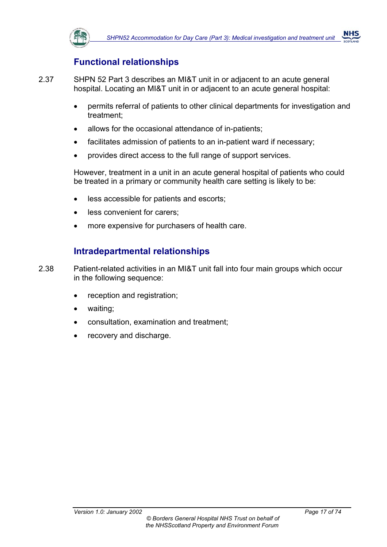<span id="page-16-0"></span>

# **Functional relationships**

2.37 SHPN 52 Part 3 describes an MI&T unit in or adjacent to an acute general hospital. Locating an MI&T unit in or adjacent to an acute general hospital:

- permits referral of patients to other clinical departments for investigation and treatment;
- allows for the occasional attendance of in-patients;
- facilitates admission of patients to an in-patient ward if necessary;
- provides direct access to the full range of support services.

However, treatment in a unit in an acute general hospital of patients who could be treated in a primary or community health care setting is likely to be:

- less accessible for patients and escorts;
- less convenient for carers;
- more expensive for purchasers of health care.

## **Intradepartmental relationships**

- 2.38 Patient-related activities in an MI&T unit fall into four main groups which occur in the following sequence:
	- reception and registration;
	- waiting;
	- consultation, examination and treatment;
	- recovery and discharge.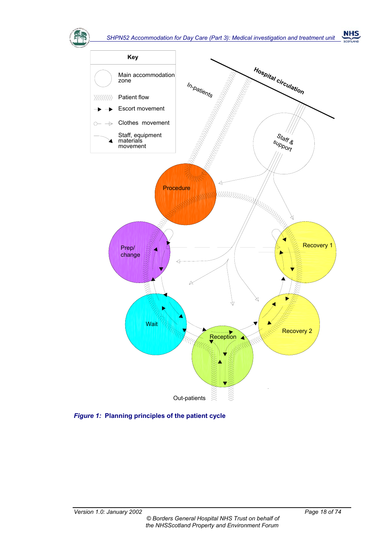<span id="page-17-0"></span>



*Figure 1:* **Planning principles of the patient cycle**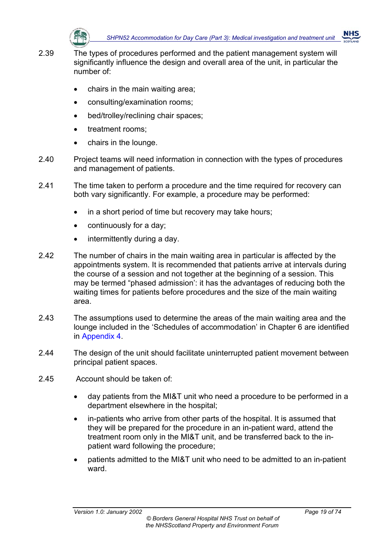

- <span id="page-18-0"></span>2.39 The types of procedures performed and the patient management system will significantly influence the design and overall area of the unit, in particular the number of:
	- chairs in the main waiting area;
	- consulting/examination rooms;
	- bed/trolley/reclining chair spaces;
	- treatment rooms:
	- chairs in the lounge.
- 2.40 Project teams will need information in connection with the types of procedures and management of patients.
- 2.41 The time taken to perform a procedure and the time required for recovery can both vary significantly. For example, a procedure may be performed:
	- in a short period of time but recovery may take hours;
	- continuously for a day;
	- intermittently during a day.
- 2.42 The number of chairs in the main waiting area in particular is affected by the appointments system. It is recommended that patients arrive at intervals during the course of a session and not together at the beginning of a session. This may be termed "phased admission': it has the advantages of reducing both the waiting times for patients before procedures and the size of the main waiting area.
- 2.43 The assumptions used to determine the areas of the main waiting area and the lounge included in the 'Schedules of accommodation' in Chapter 6 are identified in [Appendix 4.](#page-63-0)
- 2.44 The design of the unit should facilitate uninterrupted patient movement between principal patient spaces.
- 2.45 Account should be taken of:
	- day patients from the MI&T unit who need a procedure to be performed in a department elsewhere in the hospital;
	- in-patients who arrive from other parts of the hospital. It is assumed that they will be prepared for the procedure in an in-patient ward, attend the treatment room only in the MI&T unit, and be transferred back to the inpatient ward following the procedure;
	- patients admitted to the MI&T unit who need to be admitted to an in-patient ward.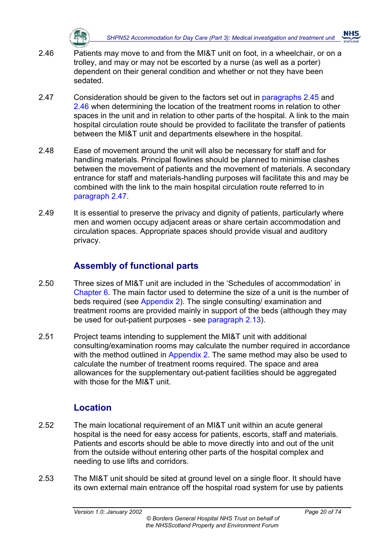

- <span id="page-19-0"></span>2.46 Patients may move to and from the MI&T unit on foot, in a wheelchair, or on a trolley, and may or may not be escorted by a nurse (as well as a porter) dependent on their general condition and whether or not they have been sedated.
- 2.47 Consideration should be given to the factors set out in [paragraphs 2.45](#page-18-0) and 2.46 when determining the location of the treatment rooms in relation to other spaces in the unit and in relation to other parts of the hospital. A link to the main hospital circulation route should be provided to facilitate the transfer of patients between the MI&T unit and departments elsewhere in the hospital.
- 2.48 Ease of movement around the unit will also be necessary for staff and for handling materials. Principal flowlines should be planned to minimise clashes between the movement of patients and the movement of materials. A secondary entrance for staff and materials-handling purposes will facilitate this and may be combined with the link to the main hospital circulation route referred to in paragraph 2.47.
- 2.49 It is essential to preserve the privacy and dignity of patients, particularly where men and women occupy adjacent areas or share certain accommodation and circulation spaces. Appropriate spaces should provide visual and auditory privacy.

# **Assembly of functional parts**

- 2.50 Three sizes of MI&T unit are included in the 'Schedules of accommodation' in [Chapter 6.](#page-46-0) The main factor used to determine the size of a unit is the number of beds required (see [Appendix 2\)](#page-55-0). The single consulting/ examination and treatment rooms are provided mainly in support of the beds (although they may be used for out-patient purposes - see [paragraph 2.13\)](#page-12-0).
- 2.51 Project teams intending to supplement the MI&T unit with additional consulting/examination rooms may calculate the number required in accordance with the method outlined in [Appendix 2.](#page-55-0) The same method may also be used to calculate the number of treatment rooms required. The space and area allowances for the supplementary out-patient facilities should be aggregated with those for the MI&T unit.

# **Location**

- 2.52 The main locational requirement of an MI&T unit within an acute general hospital is the need for easy access for patients, escorts, staff and materials. Patients and escorts should be able to move directly into and out of the unit from the outside without entering other parts of the hospital complex and needing to use lifts and corridors.
- 2.53 The MI&T unit should be sited at ground level on a single floor. It should have its own external main entrance off the hospital road system for use by patients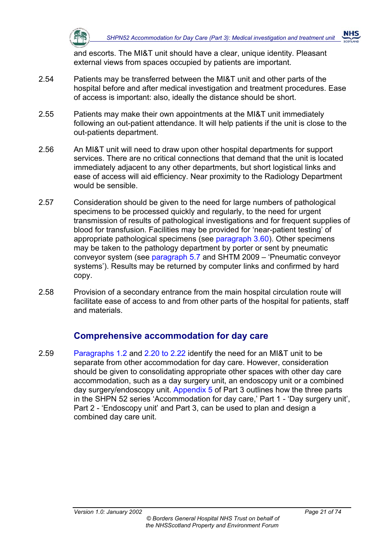<span id="page-20-0"></span>

and escorts. The MI&T unit should have a clear, unique identity. Pleasant external views from spaces occupied by patients are important.

- 2.54 Patients may be transferred between the MI&T unit and other parts of the hospital before and after medical investigation and treatment procedures. Ease of access is important: also, ideally the distance should be short.
- 2.55 Patients may make their own appointments at the MI&T unit immediately following an out-patient attendance. It will help patients if the unit is close to the out-patients department.
- 2.56 An MI&T unit will need to draw upon other hospital departments for support services. There are no critical connections that demand that the unit is located immediately adjacent to any other departments, but short logistical links and ease of access will aid efficiency. Near proximity to the Radiology Department would be sensible.
- 2.57 Consideration should be given to the need for large numbers of pathological specimens to be processed quickly and regularly, to the need for urgent transmission of results of pathological investigations and for frequent supplies of blood for transfusion. Facilities may be provided for 'near-patient testing' of appropriate pathological specimens (see [paragraph 3.60\)](#page-35-0). Other specimens may be taken to the pathology department by porter or sent by pneumatic conveyor system (see [paragraph 5.7](#page-44-0) and SHTM 2009 – 'Pneumatic conveyor systems'). Results may be returned by computer links and confirmed by hard copy.
- 2.58 Provision of a secondary entrance from the main hospital circulation route will facilitate ease of access to and from other parts of the hospital for patients, staff and materials.

## **Comprehensive accommodation for day care**

2.59 [Paragraphs 1.2](#page-6-0) and [2.20 to 2.22](#page-13-0) identify the need for an MI&T unit to be separate from other accommodation for day care. However, consideration should be given to consolidating appropriate other spaces with other day care accommodation, such as a day surgery unit, an endoscopy unit or a combined day surgery/endoscopy unit. [Appendix 5](#page-66-0) of Part 3 outlines how the three parts in the SHPN 52 series 'Accommodation for day care,' Part 1 - 'Day surgery unit', Part 2 - 'Endoscopy unit' and Part 3, can be used to plan and design a combined day care unit.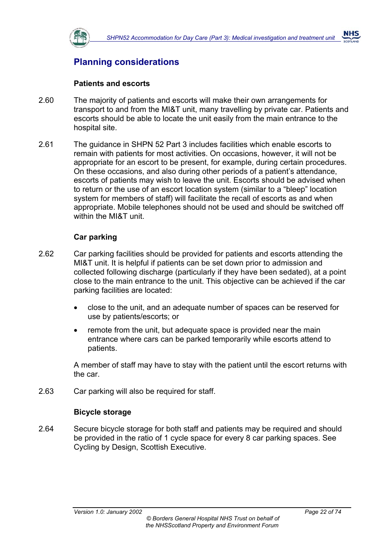<span id="page-21-0"></span>

# **Planning considerations**

#### **Patients and escorts**

- 2.60 The majority of patients and escorts will make their own arrangements for transport to and from the MI&T unit, many travelling by private car. Patients and escorts should be able to locate the unit easily from the main entrance to the hospital site.
- 2.61 The guidance in SHPN 52 Part 3 includes facilities which enable escorts to remain with patients for most activities. On occasions, however, it will not be appropriate for an escort to be present, for example, during certain procedures. On these occasions, and also during other periods of a patient's attendance, escorts of patients may wish to leave the unit. Escorts should be advised when to return or the use of an escort location system (similar to a "bleep" location system for members of staff) will facilitate the recall of escorts as and when appropriate. Mobile telephones should not be used and should be switched off within the MI&T unit.

#### **Car parking**

- 2.62 Car parking facilities should be provided for patients and escorts attending the MI&T unit. It is helpful if patients can be set down prior to admission and collected following discharge (particularly if they have been sedated), at a point close to the main entrance to the unit. This objective can be achieved if the car parking facilities are located:
	- close to the unit, and an adequate number of spaces can be reserved for use by patients/escorts; or
	- remote from the unit, but adequate space is provided near the main entrance where cars can be parked temporarily while escorts attend to patients.

A member of staff may have to stay with the patient until the escort returns with the car.

2.63 Car parking will also be required for staff.

#### **Bicycle storage**

2.64 Secure bicycle storage for both staff and patients may be required and should be provided in the ratio of 1 cycle space for every 8 car parking spaces. See Cycling by Design, Scottish Executive.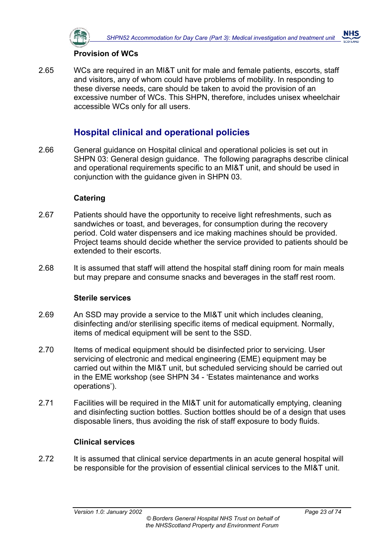<span id="page-22-0"></span>

#### **Provision of WCs**

2.65 WCs are required in an MI&T unit for male and female patients, escorts, staff and visitors, any of whom could have problems of mobility. In responding to these diverse needs, care should be taken to avoid the provision of an excessive number of WCs. This SHPN, therefore, includes unisex wheelchair accessible WCs only for all users.

## **Hospital clinical and operational policies**

2.66 General guidance on Hospital clinical and operational policies is set out in SHPN 03: General design guidance. The following paragraphs describe clinical and operational requirements specific to an MI&T unit, and should be used in conjunction with the guidance given in SHPN 03.

#### **Catering**

- 2.67 Patients should have the opportunity to receive light refreshments, such as sandwiches or toast, and beverages, for consumption during the recovery period. Cold water dispensers and ice making machines should be provided. Project teams should decide whether the service provided to patients should be extended to their escorts.
- 2.68 It is assumed that staff will attend the hospital staff dining room for main meals but may prepare and consume snacks and beverages in the staff rest room.

#### **Sterile services**

- 2.69 An SSD may provide a service to the MI&T unit which includes cleaning, disinfecting and/or sterilising specific items of medical equipment. Normally, items of medical equipment will be sent to the SSD.
- 2.70 Items of medical equipment should be disinfected prior to servicing. User servicing of electronic and medical engineering (EME) equipment may be carried out within the MI&T unit, but scheduled servicing should be carried out in the EME workshop (see SHPN 34 - 'Estates maintenance and works operations').
- 2.71 Facilities will be required in the MI&T unit for automatically emptying, cleaning and disinfecting suction bottles. Suction bottles should be of a design that uses disposable liners, thus avoiding the risk of staff exposure to body fluids.

#### **Clinical services**

2.72 It is assumed that clinical service departments in an acute general hospital will be responsible for the provision of essential clinical services to the MI&T unit.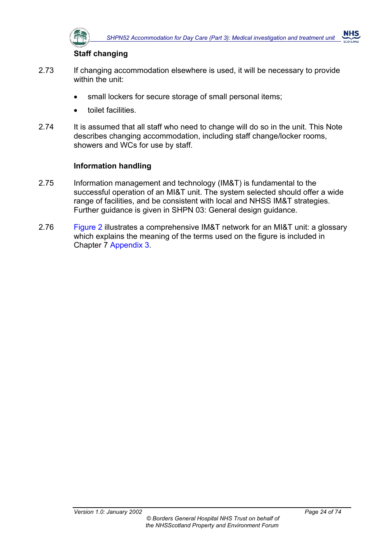<span id="page-23-0"></span>

## **Staff changing**

- 2.73 If changing accommodation elsewhere is used, it will be necessary to provide within the unit:
	- small lockers for secure storage of small personal items;
	- toilet facilities.
- 2.74 It is assumed that all staff who need to change will do so in the unit. This Note describes changing accommodation, including staff change/locker rooms, showers and WCs for use by staff.

#### **Information handling**

- 2.75 Information management and technology (IM&T) is fundamental to the successful operation of an MI&T unit. The system selected should offer a wide range of facilities, and be consistent with local and NHSS IM&T strategies. Further guidance is given in SHPN 03: General design guidance.
- 2.76 [Figure 2](#page-24-0) illustrates a comprehensive IM&T network for an MI&T unit: a glossary which explains the meaning of the terms used on the figure is included in Chapter 7 [Appendix 3.](#page-61-0)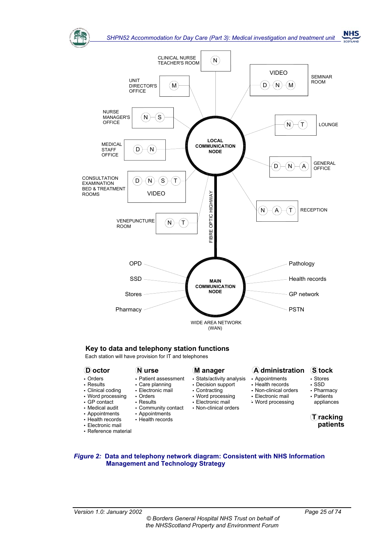

<span id="page-24-0"></span>

#### **Key to data and telephony station functions**

Each station will have provision for IT and telephones

- 
- 
- Clinical coding <br>
Nord processing Corders
- 
- 
- Medical audit Community contact<br>• Appointments Appointments
- 
- 
- Electronic mail
- Reference material
- **Doctor N** urse **M** anager

- Orders Patient assessment Stats/activity analysis<br>• Results Care planning Decision support
	-
- Clinical coding Electronic mail<br>• Word processing Orders Word processing Orders Word processing Orders Word processing Clinical coding Clinical coding Clinical coding Clinical coding Clinical codi
	-
	- $\cdot$  Health records
	-
	-
- Care planning Decision support<br>• Electronic mail Contracting
	-
- GP contact CRESULT FRESULTS FREE ELECTRONIC Mail<br>- Medical audit FREE Community contact FREE Non-clinical orders
	-
	-
	-
- 
- 

• Word processing

- 
- 
- 
- 
- 
- Appointments Appointments<br>• Health records Health records
- 
- 
- **Administration Stock**
- Appointments Stores<br>• Health records SSD
	-
- Health records SSD<br>• Non-clinical orders Pharmacy • Non-clinical orders • Pharmacy • Pharmacy • Pharmacy
- Electronic mail Patients<br>• Word processing appliances
	-



#### *Figure 2:* **Data and telephony network diagram: Consistent with NHS Information Management and Technology Strategy**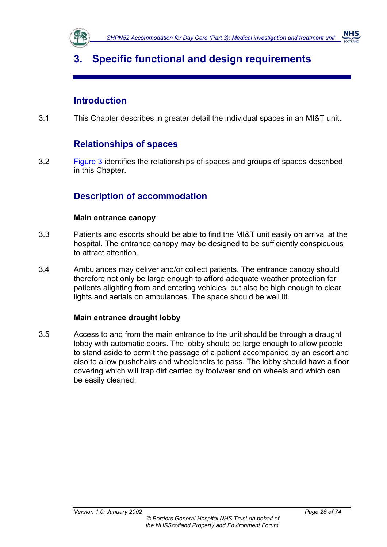<span id="page-25-0"></span>

# **3. Specific functional and design requirements**

# **Introduction**

3.1 This Chapter describes in greater detail the individual spaces in an MI&T unit.

# **Relationships of spaces**

3.2 [Figure 3](#page-26-0) identifies the relationships of spaces and groups of spaces described in this Chapter.

# **Description of accommodation**

#### **Main entrance canopy**

- 3.3 Patients and escorts should be able to find the MI&T unit easily on arrival at the hospital. The entrance canopy may be designed to be sufficiently conspicuous to attract attention.
- 3.4 Ambulances may deliver and/or collect patients. The entrance canopy should therefore not only be large enough to afford adequate weather protection for patients alighting from and entering vehicles, but also be high enough to clear lights and aerials on ambulances. The space should be well lit.

#### **Main entrance draught lobby**

3.5 Access to and from the main entrance to the unit should be through a draught lobby with automatic doors. The lobby should be large enough to allow people to stand aside to permit the passage of a patient accompanied by an escort and also to allow pushchairs and wheelchairs to pass. The lobby should have a floor covering which will trap dirt carried by footwear and on wheels and which can be easily cleaned.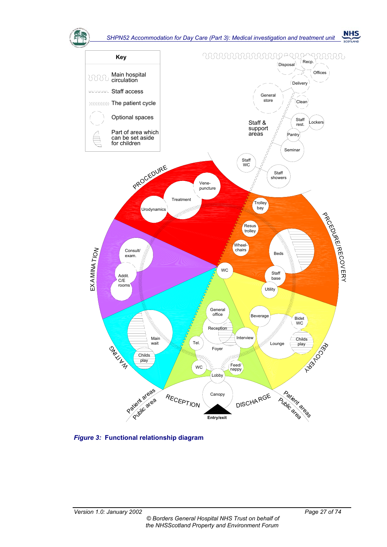

<span id="page-26-0"></span>

*Figure 3:* **Functional relationship diagram**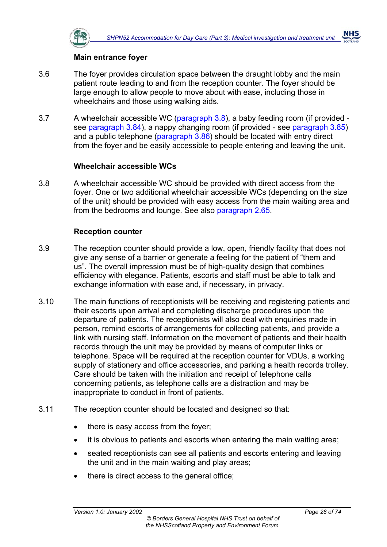<span id="page-27-0"></span>

#### **Main entrance foyer**

- 3.6 The foyer provides circulation space between the draught lobby and the main patient route leading to and from the reception counter. The foyer should be large enough to allow people to move about with ease, including those in wheelchairs and those using walking aids.
- 3.7 A wheelchair accessible WC (paragraph 3.8), a baby feeding room (if provided see [paragraph 3.84\)](#page-39-0), a nappy changing room (if provided - see [paragraph 3.85\)](#page-39-0) and a public telephone [\(paragraph 3.86\)](#page-40-0) should be located with entry direct from the foyer and be easily accessible to people entering and leaving the unit.

#### **Wheelchair accessible WCs**

3.8 A wheelchair accessible WC should be provided with direct access from the foyer. One or two additional wheelchair accessible WCs (depending on the size of the unit) should be provided with easy access from the main waiting area and from the bedrooms and lounge. See also [paragraph 2.65.](#page-22-0)

#### **Reception counter**

- 3.9 The reception counter should provide a low, open, friendly facility that does not give any sense of a barrier or generate a feeling for the patient of "them and us". The overall impression must be of high-quality design that combines efficiency with elegance. Patients, escorts and staff must be able to talk and exchange information with ease and, if necessary, in privacy.
- 3.10 The main functions of receptionists will be receiving and registering patients and their escorts upon arrival and completing discharge procedures upon the departure of patients. The receptionists will also deal with enquiries made in person, remind escorts of arrangements for collecting patients, and provide a link with nursing staff. Information on the movement of patients and their health records through the unit may be provided by means of computer links or telephone. Space will be required at the reception counter for VDUs, a working supply of stationery and office accessories, and parking a health records trolley. Care should be taken with the initiation and receipt of telephone calls concerning patients, as telephone calls are a distraction and may be inappropriate to conduct in front of patients.
- 3.11 The reception counter should be located and designed so that:
	- there is easy access from the foyer;
	- it is obvious to patients and escorts when entering the main waiting area;
	- seated receptionists can see all patients and escorts entering and leaving the unit and in the main waiting and play areas;
	- there is direct access to the general office;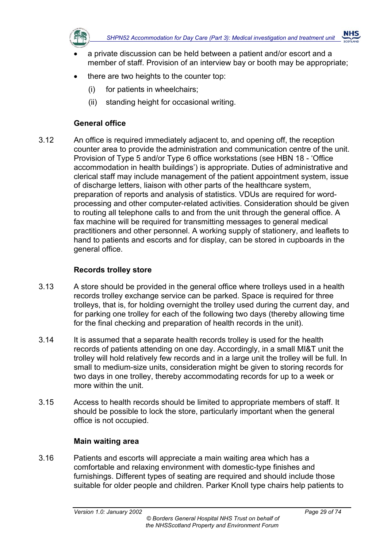<span id="page-28-0"></span>

- a private discussion can be held between a patient and/or escort and a member of staff. Provision of an interview bay or booth may be appropriate;
- there are two heights to the counter top:
	- (i) for patients in wheelchairs;
	- (ii) standing height for occasional writing.

## **General office**

3.12 An office is required immediately adjacent to, and opening off, the reception counter area to provide the administration and communication centre of the unit. Provision of Type 5 and/or Type 6 office workstations (see HBN 18 - 'Office accommodation in health buildings') is appropriate. Duties of administrative and clerical staff may include management of the patient appointment system, issue of discharge letters, liaison with other parts of the healthcare system, preparation of reports and analysis of statistics. VDUs are required for wordprocessing and other computer-related activities. Consideration should be given to routing all telephone calls to and from the unit through the general office. A fax machine will be required for transmitting messages to general medical practitioners and other personnel. A working supply of stationery, and leaflets to hand to patients and escorts and for display, can be stored in cupboards in the general office.

#### **Records trolley store**

- 3.13 A store should be provided in the general office where trolleys used in a health records trolley exchange service can be parked. Space is required for three trolleys, that is, for holding overnight the trolley used during the current day, and for parking one trolley for each of the following two days (thereby allowing time for the final checking and preparation of health records in the unit).
- 3.14 It is assumed that a separate health records trolley is used for the health records of patients attending on one day. Accordingly, in a small MI&T unit the trolley will hold relatively few records and in a large unit the trolley will be full. In small to medium-size units, consideration might be given to storing records for two days in one trolley, thereby accommodating records for up to a week or more within the unit.
- 3.15 Access to health records should be limited to appropriate members of staff. It should be possible to lock the store, particularly important when the general office is not occupied.

#### **Main waiting area**

3.16 Patients and escorts will appreciate a main waiting area which has a comfortable and relaxing environment with domestic-type finishes and furnishings. Different types of seating are required and should include those suitable for older people and children. Parker Knoll type chairs help patients to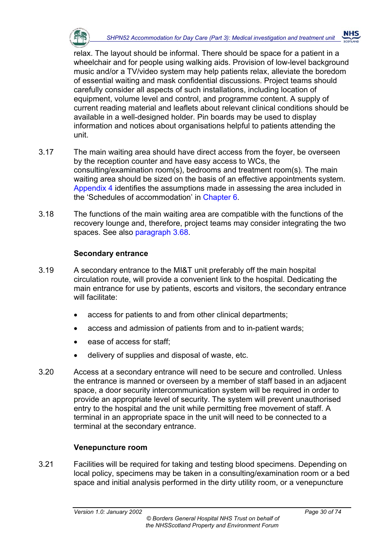<span id="page-29-0"></span>

relax. The layout should be informal. There should be space for a patient in a wheelchair and for people using walking aids. Provision of low-level background music and/or a TV/video system may help patients relax, alleviate the boredom of essential waiting and mask confidential discussions. Project teams should carefully consider all aspects of such installations, including location of equipment, volume level and control, and programme content. A supply of current reading material and leaflets about relevant clinical conditions should be available in a well-designed holder. Pin boards may be used to display information and notices about organisations helpful to patients attending the unit.

- 3.17 The main waiting area should have direct access from the foyer, be overseen by the reception counter and have easy access to WCs, the consulting/examination room(s), bedrooms and treatment room(s). The main waiting area should be sized on the basis of an effective appointments system. [Appendix 4](#page-63-0) identifies the assumptions made in assessing the area included in the 'Schedules of accommodation' in [Chapter 6.](#page-46-0)
- 3.18 The functions of the main waiting area are compatible with the functions of the recovery lounge and, therefore, project teams may consider integrating the two spaces. See also [paragraph 3.68.](#page-37-0)

#### **Secondary entrance**

- 3.19 A secondary entrance to the MI&T unit preferably off the main hospital circulation route, will provide a convenient link to the hospital. Dedicating the main entrance for use by patients, escorts and visitors, the secondary entrance will facilitate:
	- access for patients to and from other clinical departments;
	- access and admission of patients from and to in-patient wards;
	- ease of access for staff;
	- delivery of supplies and disposal of waste, etc.
- 3.20 Access at a secondary entrance will need to be secure and controlled. Unless the entrance is manned or overseen by a member of staff based in an adjacent space, a door security intercommunication system will be required in order to provide an appropriate level of security. The system will prevent unauthorised entry to the hospital and the unit while permitting free movement of staff. A terminal in an appropriate space in the unit will need to be connected to a terminal at the secondary entrance.

#### **Venepuncture room**

3.21 Facilities will be required for taking and testing blood specimens. Depending on local policy, specimens may be taken in a consulting/examination room or a bed space and initial analysis performed in the dirty utility room, or a venepuncture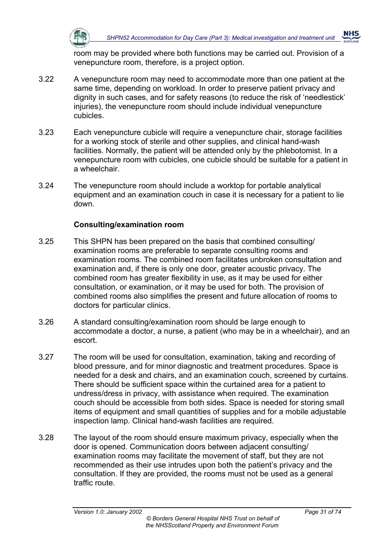room may be provided where both functions may be carried out. Provision of a venepuncture room, therefore, is a project option.

- <span id="page-30-0"></span>3.22 A venepuncture room may need to accommodate more than one patient at the same time, depending on workload. In order to preserve patient privacy and dignity in such cases, and for safety reasons (to reduce the risk of 'needlestick' injuries), the venepuncture room should include individual venepuncture cubicles.
- 3.23 Each venepuncture cubicle will require a venepuncture chair, storage facilities for a working stock of sterile and other supplies, and clinical hand-wash facilities. Normally, the patient will be attended only by the phlebotomist. In a venepuncture room with cubicles, one cubicle should be suitable for a patient in a wheelchair.
- 3.24 The venepuncture room should include a worktop for portable analytical equipment and an examination couch in case it is necessary for a patient to lie down.

#### **Consulting/examination room**

- 3.25 This SHPN has been prepared on the basis that combined consulting/ examination rooms are preferable to separate consulting rooms and examination rooms. The combined room facilitates unbroken consultation and examination and, if there is only one door, greater acoustic privacy. The combined room has greater flexibility in use, as it may be used for either consultation, or examination, or it may be used for both. The provision of combined rooms also simplifies the present and future allocation of rooms to doctors for particular clinics.
- 3.26 A standard consulting/examination room should be large enough to accommodate a doctor, a nurse, a patient (who may be in a wheelchair), and an escort.
- 3.27 The room will be used for consultation, examination, taking and recording of blood pressure, and for minor diagnostic and treatment procedures. Space is needed for a desk and chairs, and an examination couch, screened by curtains. There should be sufficient space within the curtained area for a patient to undress/dress in privacy, with assistance when required. The examination couch should be accessible from both sides. Space is needed for storing small items of equipment and small quantities of supplies and for a mobile adjustable inspection lamp. Clinical hand-wash facilities are required.
- 3.28 The layout of the room should ensure maximum privacy, especially when the door is opened. Communication doors between adjacent consulting/ examination rooms may facilitate the movement of staff, but they are not recommended as their use intrudes upon both the patient's privacy and the consultation. If they are provided, the rooms must not be used as a general traffic route.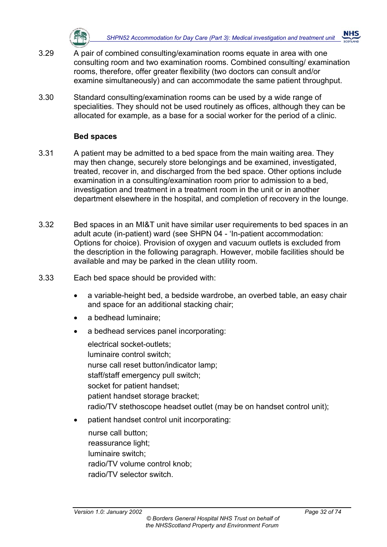

- <span id="page-31-0"></span>3.29 A pair of combined consulting/examination rooms equate in area with one consulting room and two examination rooms. Combined consulting/ examination rooms, therefore, offer greater flexibility (two doctors can consult and/or examine simultaneously) and can accommodate the same patient throughput.
- 3.30 Standard consulting/examination rooms can be used by a wide range of specialities. They should not be used routinely as offices, although they can be allocated for example, as a base for a social worker for the period of a clinic.

#### **Bed spaces**

- 3.31 A patient may be admitted to a bed space from the main waiting area. They may then change, securely store belongings and be examined, investigated, treated, recover in, and discharged from the bed space. Other options include examination in a consulting/examination room prior to admission to a bed, investigation and treatment in a treatment room in the unit or in another department elsewhere in the hospital, and completion of recovery in the lounge.
- 3.32 Bed spaces in an MI&T unit have similar user requirements to bed spaces in an adult acute (in-patient) ward (see SHPN 04 - 'In-patient accommodation: Options for choice). Provision of oxygen and vacuum outlets is excluded from the description in the following paragraph. However, mobile facilities should be available and may be parked in the clean utility room.
- 3.33 Each bed space should be provided with:
	- a variable-height bed, a bedside wardrobe, an overbed table, an easy chair and space for an additional stacking chair;
	- a bedhead luminaire:
	- a bedhead services panel incorporating:

electrical socket-outlets; luminaire control switch; nurse call reset button/indicator lamp; staff/staff emergency pull switch; socket for patient handset; patient handset storage bracket; radio/TV stethoscope headset outlet (may be on handset control unit);

• patient handset control unit incorporating:

nurse call button; reassurance light; luminaire switch; radio/TV volume control knob; radio/TV selector switch.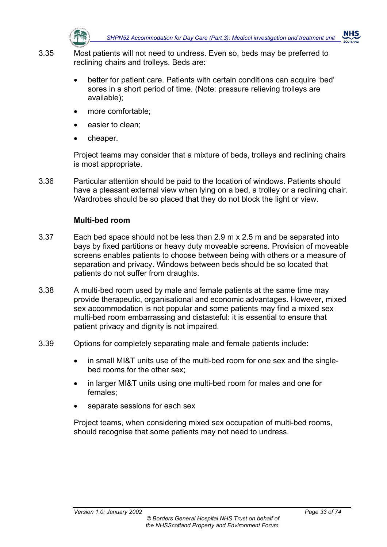

<span id="page-32-0"></span>3.35 Most patients will not need to undress. Even so, beds may be preferred to reclining chairs and trolleys. Beds are:

- better for patient care. Patients with certain conditions can acquire 'bed' sores in a short period of time. (Note: pressure relieving trolleys are available);
- more comfortable;
- easier to clean:
- cheaper.

Project teams may consider that a mixture of beds, trolleys and reclining chairs is most appropriate.

3.36 Particular attention should be paid to the location of windows. Patients should have a pleasant external view when lying on a bed, a trolley or a reclining chair. Wardrobes should be so placed that they do not block the light or view.

#### **Multi-bed room**

- 3.37 Each bed space should not be less than 2.9 m x 2.5 m and be separated into bays by fixed partitions or heavy duty moveable screens. Provision of moveable screens enables patients to choose between being with others or a measure of separation and privacy. Windows between beds should be so located that patients do not suffer from draughts.
- 3.38 A multi-bed room used by male and female patients at the same time may provide therapeutic, organisational and economic advantages. However, mixed sex accommodation is not popular and some patients may find a mixed sex multi-bed room embarrassing and distasteful: it is essential to ensure that patient privacy and dignity is not impaired.
- 3.39 Options for completely separating male and female patients include:
	- in small MI&T units use of the multi-bed room for one sex and the singlebed rooms for the other sex;
	- in larger MI&T units using one multi-bed room for males and one for females;
	- separate sessions for each sex

Project teams, when considering mixed sex occupation of multi-bed rooms, should recognise that some patients may not need to undress.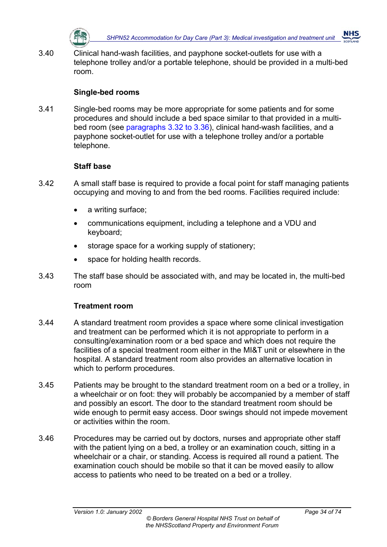

<span id="page-33-0"></span>3.40 Clinical hand-wash facilities, and payphone socket-outlets for use with a telephone trolley and/or a portable telephone, should be provided in a multi-bed room.

#### **Single-bed rooms**

3.41 Single-bed rooms may be more appropriate for some patients and for some procedures and should include a bed space similar to that provided in a multibed room (see [paragraphs 3.32 to 3.36\)](#page-31-0), clinical hand-wash facilities, and a payphone socket-outlet for use with a telephone trolley and/or a portable telephone.

#### **Staff base**

- 3.42 A small staff base is required to provide a focal point for staff managing patients occupying and moving to and from the bed rooms. Facilities required include:
	- a writing surface;
	- communications equipment, including a telephone and a VDU and keyboard;
	- storage space for a working supply of stationery;
	- space for holding health records.
- 3.43 The staff base should be associated with, and may be located in, the multi-bed room

#### **Treatment room**

- 3.44 A standard treatment room provides a space where some clinical investigation and treatment can be performed which it is not appropriate to perform in a consulting/examination room or a bed space and which does not require the facilities of a special treatment room either in the MI&T unit or elsewhere in the hospital. A standard treatment room also provides an alternative location in which to perform procedures.
- 3.45 Patients may be brought to the standard treatment room on a bed or a trolley, in a wheelchair or on foot: they will probably be accompanied by a member of staff and possibly an escort. The door to the standard treatment room should be wide enough to permit easy access. Door swings should not impede movement or activities within the room.
- 3.46 Procedures may be carried out by doctors, nurses and appropriate other staff with the patient lying on a bed, a trolley or an examination couch, sitting in a wheelchair or a chair, or standing. Access is required all round a patient. The examination couch should be mobile so that it can be moved easily to allow access to patients who need to be treated on a bed or a trolley.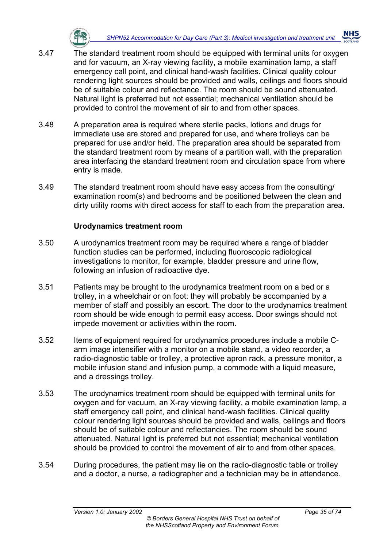

- <span id="page-34-0"></span>3.47 The standard treatment room should be equipped with terminal units for oxygen and for vacuum, an X-ray viewing facility, a mobile examination lamp, a staff emergency call point, and clinical hand-wash facilities. Clinical quality colour rendering light sources should be provided and walls, ceilings and floors should be of suitable colour and reflectance. The room should be sound attenuated. Natural light is preferred but not essential; mechanical ventilation should be provided to control the movement of air to and from other spaces.
- 3.48 A preparation area is required where sterile packs, lotions and drugs for immediate use are stored and prepared for use, and where trolleys can be prepared for use and/or held. The preparation area should be separated from the standard treatment room by means of a partition wall, with the preparation area interfacing the standard treatment room and circulation space from where entry is made.
- 3.49 The standard treatment room should have easy access from the consulting/ examination room(s) and bedrooms and be positioned between the clean and dirty utility rooms with direct access for staff to each from the preparation area.

#### **Urodynamics treatment room**

- 3.50 A urodynamics treatment room may be required where a range of bladder function studies can be performed, including fluoroscopic radiological investigations to monitor, for example, bladder pressure and urine flow, following an infusion of radioactive dye.
- 3.51 Patients may be brought to the urodynamics treatment room on a bed or a trolley, in a wheelchair or on foot: they will probably be accompanied by a member of staff and possibly an escort. The door to the urodynamics treatment room should be wide enough to permit easy access. Door swings should not impede movement or activities within the room.
- 3.52 Items of equipment required for urodynamics procedures include a mobile Carm image intensifier with a monitor on a mobile stand, a video recorder, a radio-diagnostic table or trolley, a protective apron rack, a pressure monitor, a mobile infusion stand and infusion pump, a commode with a liquid measure, and a dressings trolley.
- 3.53 The urodynamics treatment room should be equipped with terminal units for oxygen and for vacuum, an X-ray viewing facility, a mobile examination lamp, a staff emergency call point, and clinical hand-wash facilities. Clinical quality colour rendering light sources should be provided and walls, ceilings and floors should be of suitable colour and reflectancies. The room should be sound attenuated. Natural light is preferred but not essential; mechanical ventilation should be provided to control the movement of air to and from other spaces.
- 3.54 During procedures, the patient may lie on the radio-diagnostic table or trolley and a doctor, a nurse, a radiographer and a technician may be in attendance.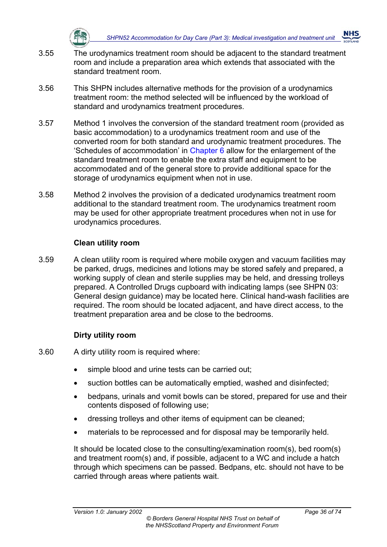- <span id="page-35-0"></span>3.55 The urodynamics treatment room should be adjacent to the standard treatment room and include a preparation area which extends that associated with the standard treatment room.
- 3.56 This SHPN includes alternative methods for the provision of a urodynamics treatment room: the method selected will be influenced by the workload of standard and urodynamics treatment procedures.
- 3.57 Method 1 involves the conversion of the standard treatment room (provided as basic accommodation) to a urodynamics treatment room and use of the converted room for both standard and urodynamic treatment procedures. The 'Schedules of accommodation' in [Chapter 6](#page-46-0) allow for the enlargement of the standard treatment room to enable the extra staff and equipment to be accommodated and of the general store to provide additional space for the storage of urodynamics equipment when not in use.
- 3.58 Method 2 involves the provision of a dedicated urodynamics treatment room additional to the standard treatment room. The urodynamics treatment room may be used for other appropriate treatment procedures when not in use for urodynamics procedures.

## **Clean utility room**

3.59 A clean utility room is required where mobile oxygen and vacuum facilities may be parked, drugs, medicines and lotions may be stored safely and prepared, a working supply of clean and sterile supplies may be held, and dressing trolleys prepared. A Controlled Drugs cupboard with indicating lamps (see SHPN 03: General design guidance) may be located here. Clinical hand-wash facilities are required. The room should be located adjacent, and have direct access, to the treatment preparation area and be close to the bedrooms.

## **Dirty utility room**

- 3.60 A dirty utility room is required where:
	- simple blood and urine tests can be carried out;
	- suction bottles can be automatically emptied, washed and disinfected;
	- bedpans, urinals and vomit bowls can be stored, prepared for use and their contents disposed of following use;
	- dressing trolleys and other items of equipment can be cleaned;
	- materials to be reprocessed and for disposal may be temporarily held.

It should be located close to the consulting/examination room(s), bed room(s) and treatment room(s) and, if possible, adjacent to a WC and include a hatch through which specimens can be passed. Bedpans, etc. should not have to be carried through areas where patients wait.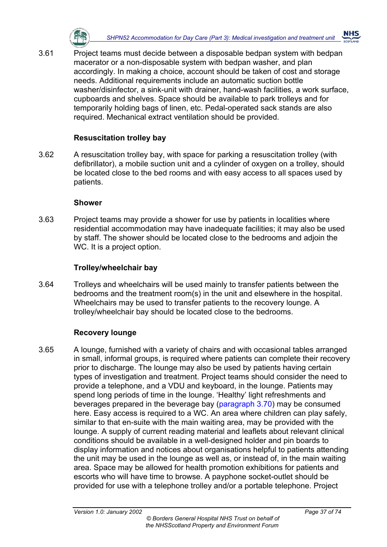

3.61 Project teams must decide between a disposable bedpan system with bedpan macerator or a non-disposable system with bedpan washer, and plan accordingly. In making a choice, account should be taken of cost and storage needs. Additional requirements include an automatic suction bottle washer/disinfector, a sink-unit with drainer, hand-wash facilities, a work surface, cupboards and shelves. Space should be available to park trolleys and for temporarily holding bags of linen, etc. Pedal-operated sack stands are also required. Mechanical extract ventilation should be provided.

#### **Resuscitation trolley bay**

3.62 A resuscitation trolley bay, with space for parking a resuscitation trolley (with defibrillator), a mobile suction unit and a cylinder of oxygen on a trolley, should be located close to the bed rooms and with easy access to all spaces used by patients.

#### **Shower**

3.63 Project teams may provide a shower for use by patients in localities where residential accommodation may have inadequate facilities; it may also be used by staff. The shower should be located close to the bedrooms and adjoin the WC. It is a project option.

#### **Trolley/wheelchair bay**

3.64 Trolleys and wheelchairs will be used mainly to transfer patients between the bedrooms and the treatment room(s) in the unit and elsewhere in the hospital. Wheelchairs may be used to transfer patients to the recovery lounge. A trolley/wheelchair bay should be located close to the bedrooms.

#### **Recovery lounge**

3.65 A lounge, furnished with a variety of chairs and with occasional tables arranged in small, informal groups, is required where patients can complete their recovery prior to discharge. The lounge may also be used by patients having certain types of investigation and treatment. Project teams should consider the need to provide a telephone, and a VDU and keyboard, in the lounge. Patients may spend long periods of time in the lounge. 'Healthy' light refreshments and beverages prepared in the beverage bay [\(paragraph 3.70\)](#page-37-0) may be consumed here. Easy access is required to a WC. An area where children can play safely, similar to that en-suite with the main waiting area, may be provided with the lounge. A supply of current reading material and leaflets about relevant clinical conditions should be available in a well-designed holder and pin boards to display information and notices about organisations helpful to patients attending the unit may be used in the lounge as well as, or instead of, in the main waiting area. Space may be allowed for health promotion exhibitions for patients and escorts who will have time to browse. A payphone socket-outlet should be provided for use with a telephone trolley and/or a portable telephone. Project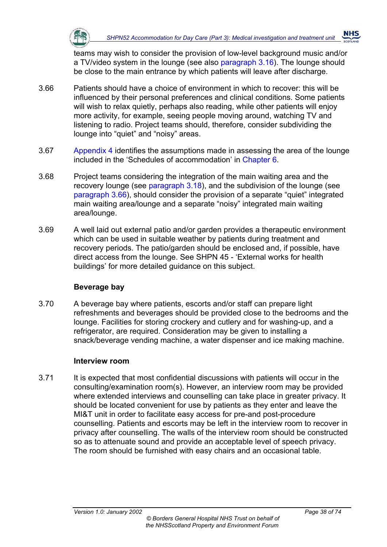<span id="page-37-0"></span>

teams may wish to consider the provision of low-level background music and/or a TV/video system in the lounge (see also [paragraph 3.16\)](#page-28-0). The lounge should be close to the main entrance by which patients will leave after discharge.

- 3.66 Patients should have a choice of environment in which to recover: this will be influenced by their personal preferences and clinical conditions. Some patients will wish to relax quietly, perhaps also reading, while other patients will enjoy more activity, for example, seeing people moving around, watching TV and listening to radio. Project teams should, therefore, consider subdividing the lounge into "quiet" and "noisy" areas.
- 3.67 [Appendix 4](#page-63-0) identifies the assumptions made in assessing the area of the lounge included in the 'Schedules of accommodation' in [Chapter 6.](#page-46-0)
- 3.68 Project teams considering the integration of the main waiting area and the recovery lounge (see [paragraph 3.18\)](#page-29-0), and the subdivision of the lounge (see paragraph 3.66), should consider the provision of a separate "quiet" integrated main waiting area/lounge and a separate "noisy" integrated main waiting area/lounge.
- 3.69 A well laid out external patio and/or garden provides a therapeutic environment which can be used in suitable weather by patients during treatment and recovery periods. The patio/garden should be enclosed and, if possible, have direct access from the lounge. See SHPN 45 - 'External works for health buildings' for more detailed guidance on this subject.

#### **Beverage bay**

3.70 A beverage bay where patients, escorts and/or staff can prepare light refreshments and beverages should be provided close to the bedrooms and the lounge. Facilities for storing crockery and cutlery and for washing-up, and a refrigerator, are required. Consideration may be given to installing a snack/beverage vending machine, a water dispenser and ice making machine.

#### **Interview room**

3.71 It is expected that most confidential discussions with patients will occur in the consulting/examination room(s). However, an interview room may be provided where extended interviews and counselling can take place in greater privacy. It should be located convenient for use by patients as they enter and leave the MI&T unit in order to facilitate easy access for pre-and post-procedure counselling. Patients and escorts may be left in the interview room to recover in privacy after counselling. The walls of the interview room should be constructed so as to attenuate sound and provide an acceptable level of speech privacy. The room should be furnished with easy chairs and an occasional table.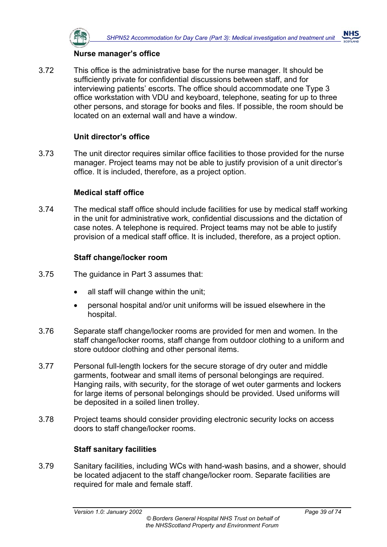

#### **Nurse manager's office**

3.72 This office is the administrative base for the nurse manager. It should be sufficiently private for confidential discussions between staff, and for interviewing patients' escorts. The office should accommodate one Type 3 office workstation with VDU and keyboard, telephone, seating for up to three other persons, and storage for books and files. If possible, the room should be located on an external wall and have a window.

#### **Unit director's office**

3.73 The unit director requires similar office facilities to those provided for the nurse manager. Project teams may not be able to justify provision of a unit director's office. It is included, therefore, as a project option.

#### **Medical staff office**

3.74 The medical staff office should include facilities for use by medical staff working in the unit for administrative work, confidential discussions and the dictation of case notes. A telephone is required. Project teams may not be able to justify provision of a medical staff office. It is included, therefore, as a project option.

#### **Staff change/locker room**

- 3.75 The guidance in Part 3 assumes that:
	- all staff will change within the unit;
	- personal hospital and/or unit uniforms will be issued elsewhere in the hospital.
- 3.76 Separate staff change/locker rooms are provided for men and women. In the staff change/locker rooms, staff change from outdoor clothing to a uniform and store outdoor clothing and other personal items.
- 3.77 Personal full-length lockers for the secure storage of dry outer and middle garments, footwear and small items of personal belongings are required. Hanging rails, with security, for the storage of wet outer garments and lockers for large items of personal belongings should be provided. Used uniforms will be deposited in a soiled linen trolley.
- 3.78 Project teams should consider providing electronic security locks on access doors to staff change/locker rooms.

#### **Staff sanitary facilities**

3.79 Sanitary facilities, including WCs with hand-wash basins, and a shower, should be located adjacent to the staff change/locker room. Separate facilities are required for male and female staff.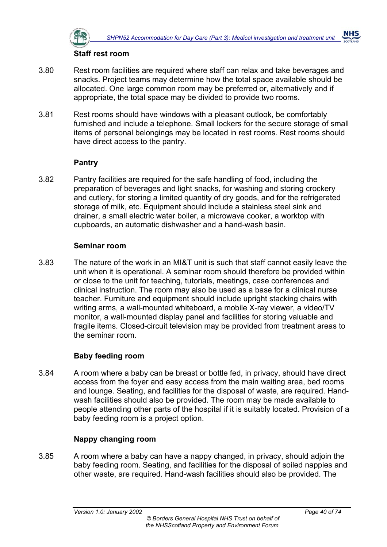

#### **Staff rest room**

- 3.80 Rest room facilities are required where staff can relax and take beverages and snacks. Project teams may determine how the total space available should be allocated. One large common room may be preferred or, alternatively and if appropriate, the total space may be divided to provide two rooms.
- 3.81 Rest rooms should have windows with a pleasant outlook, be comfortably furnished and include a telephone. Small lockers for the secure storage of small items of personal belongings may be located in rest rooms. Rest rooms should have direct access to the pantry.

#### **Pantry**

3.82 Pantry facilities are required for the safe handling of food, including the preparation of beverages and light snacks, for washing and storing crockery and cutlery, for storing a limited quantity of dry goods, and for the refrigerated storage of milk, etc. Equipment should include a stainless steel sink and drainer, a small electric water boiler, a microwave cooker, a worktop with cupboards, an automatic dishwasher and a hand-wash basin.

#### **Seminar room**

3.83 The nature of the work in an MI&T unit is such that staff cannot easily leave the unit when it is operational. A seminar room should therefore be provided within or close to the unit for teaching, tutorials, meetings, case conferences and clinical instruction. The room may also be used as a base for a clinical nurse teacher. Furniture and equipment should include upright stacking chairs with writing arms, a wall-mounted whiteboard, a mobile X-ray viewer, a video/TV monitor, a wall-mounted display panel and facilities for storing valuable and fragile items. Closed-circuit television may be provided from treatment areas to the seminar room.

#### **Baby feeding room**

3.84 A room where a baby can be breast or bottle fed, in privacy, should have direct access from the foyer and easy access from the main waiting area, bed rooms and lounge. Seating, and facilities for the disposal of waste, are required. Handwash facilities should also be provided. The room may be made available to people attending other parts of the hospital if it is suitably located. Provision of a baby feeding room is a project option.

#### **Nappy changing room**

3.85 A room where a baby can have a nappy changed, in privacy, should adjoin the baby feeding room. Seating, and facilities for the disposal of soiled nappies and other waste, are required. Hand-wash facilities should also be provided. The

*Version 1.0: January 2002 Page 40 of 74*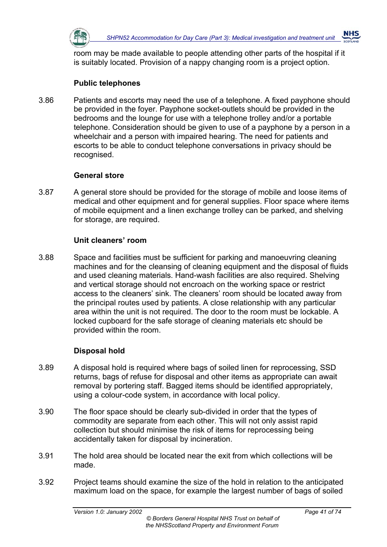

room may be made available to people attending other parts of the hospital if it is suitably located. Provision of a nappy changing room is a project option.

#### **Public telephones**

3.86 Patients and escorts may need the use of a telephone. A fixed payphone should be provided in the foyer. Payphone socket-outlets should be provided in the bedrooms and the lounge for use with a telephone trolley and/or a portable telephone. Consideration should be given to use of a payphone by a person in a wheelchair and a person with impaired hearing. The need for patients and escorts to be able to conduct telephone conversations in privacy should be recognised.

#### **General store**

3.87 A general store should be provided for the storage of mobile and loose items of medical and other equipment and for general supplies. Floor space where items of mobile equipment and a linen exchange trolley can be parked, and shelving for storage, are required.

#### **Unit cleaners' room**

3.88 Space and facilities must be sufficient for parking and manoeuvring cleaning machines and for the cleansing of cleaning equipment and the disposal of fluids and used cleaning materials. Hand-wash facilities are also required. Shelving and vertical storage should not encroach on the working space or restrict access to the cleaners' sink. The cleaners' room should be located away from the principal routes used by patients. A close relationship with any particular area within the unit is not required. The door to the room must be lockable. A locked cupboard for the safe storage of cleaning materials etc should be provided within the room.

#### **Disposal hold**

- 3.89 A disposal hold is required where bags of soiled linen for reprocessing, SSD returns, bags of refuse for disposal and other items as appropriate can await removal by portering staff. Bagged items should be identified appropriately, using a colour-code system, in accordance with local policy.
- 3.90 The floor space should be clearly sub-divided in order that the types of commodity are separate from each other. This will not only assist rapid collection but should minimise the risk of items for reprocessing being accidentally taken for disposal by incineration.
- 3.91 The hold area should be located near the exit from which collections will be made.
- 3.92 Project teams should examine the size of the hold in relation to the anticipated maximum load on the space, for example the largest number of bags of soiled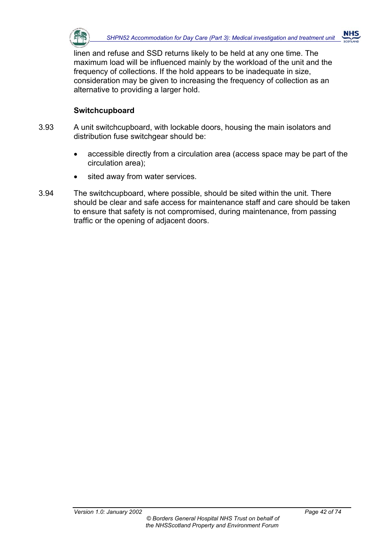

linen and refuse and SSD returns likely to be held at any one time. The maximum load will be influenced mainly by the workload of the unit and the frequency of collections. If the hold appears to be inadequate in size, consideration may be given to increasing the frequency of collection as an alternative to providing a larger hold.

#### **Switchcupboard**

- 3.93 A unit switchcupboard, with lockable doors, housing the main isolators and distribution fuse switchgear should be:
	- accessible directly from a circulation area (access space may be part of the circulation area);
	- sited away from water services.
- 3.94 The switchcupboard, where possible, should be sited within the unit. There should be clear and safe access for maintenance staff and care should be taken to ensure that safety is not compromised, during maintenance, from passing traffic or the opening of adjacent doors.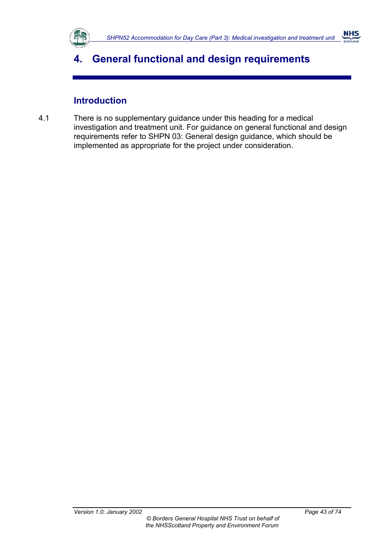<span id="page-42-0"></span>

# **4. General functional and design requirements**

## **Introduction**

4.1 There is no supplementary guidance under this heading for a medical investigation and treatment unit. For guidance on general functional and design requirements refer to SHPN 03: General design guidance, which should be implemented as appropriate for the project under consideration.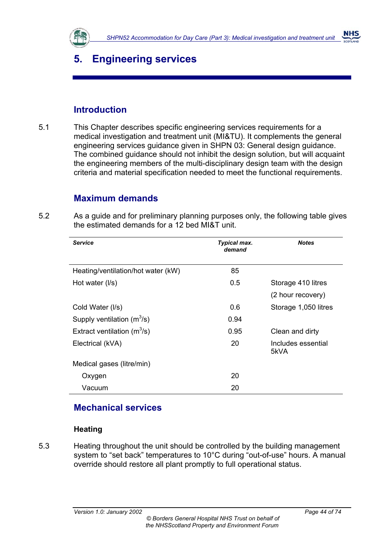<span id="page-43-0"></span>

## **5. Engineering services**

## **Introduction**

5.1 This Chapter describes specific engineering services requirements for a medical investigation and treatment unit (MI&TU). It complements the general engineering services guidance given in SHPN 03: General design guidance. The combined guidance should not inhibit the design solution, but will acquaint the engineering members of the multi-disciplinary design team with the design criteria and material specification needed to meet the functional requirements.

### **Maximum demands**

5.2 As a guide and for preliminary planning purposes only, the following table gives the estimated demands for a 12 bed MI&T unit.

| <b>Service</b>                     | Typical max.<br>demand | <b>Notes</b>               |
|------------------------------------|------------------------|----------------------------|
| Heating/ventilation/hot water (kW) | 85                     |                            |
| Hot water $(1/s)$                  | 0.5                    | Storage 410 litres         |
|                                    |                        | (2 hour recovery)          |
| Cold Water (I/s)                   | 0.6                    | Storage 1,050 litres       |
| Supply ventilation $(m^3/s)$       | 0.94                   |                            |
| Extract ventilation $(m^3/s)$      | 0.95                   | Clean and dirty            |
| Electrical (kVA)                   | 20                     | Includes essential<br>5kVA |
| Medical gases (litre/min)          |                        |                            |
| Oxygen                             | 20                     |                            |
| Vacuum                             | 20                     |                            |

## **Mechanical services**

#### **Heating**

Heating throughout the unit should be controlled by the building management system to "set back" temperatures to 10°C during "out-of-use" hours. A manual override should restore all plant promptly to full operational status. 5.3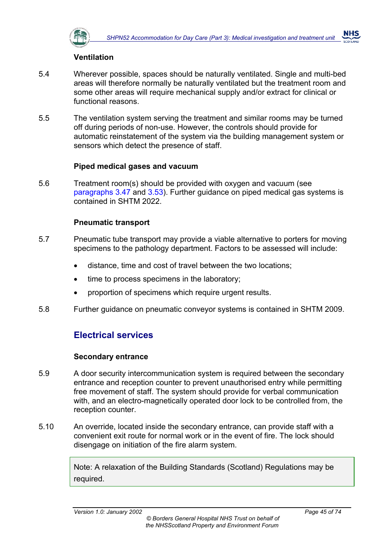<span id="page-44-0"></span>

#### **Ventilation**

- 5.4 Wherever possible, spaces should be naturally ventilated. Single and multi-bed areas will therefore normally be naturally ventilated but the treatment room and some other areas will require mechanical supply and/or extract for clinical or functional reasons.
- 5.5 The ventilation system serving the treatment and similar rooms may be turned off during periods of non-use. However, the controls should provide for automatic reinstatement of the system via the building management system or sensors which detect the presence of staff.

#### **Piped medical gases and vacuum**

5.6 Treatment room(s) should be provided with oxygen and vacuum (see [paragraphs 3.47](#page-34-0) and [3.53\)](#page-34-0). Further guidance on piped medical gas systems is contained in SHTM 2022.

#### **Pneumatic transport**

- 5.7 Pneumatic tube transport may provide a viable alternative to porters for moving specimens to the pathology department. Factors to be assessed will include:
	- distance, time and cost of travel between the two locations;
	- time to process specimens in the laboratory;
	- proportion of specimens which require urgent results.
- 5.8 Further guidance on pneumatic conveyor systems is contained in SHTM 2009.

## **Electrical services**

#### **Secondary entrance**

- 5.9 A door security intercommunication system is required between the secondary entrance and reception counter to prevent unauthorised entry while permitting free movement of staff. The system should provide for verbal communication with, and an electro-magnetically operated door lock to be controlled from, the reception counter.
- 5.10 An override, located inside the secondary entrance, can provide staff with a convenient exit route for normal work or in the event of fire. The lock should disengage on initiation of the fire alarm system.

Note: A relaxation of the Building Standards (Scotland) Regulations may be required.

*Version 1.0: January 2002 Page 45 of 74*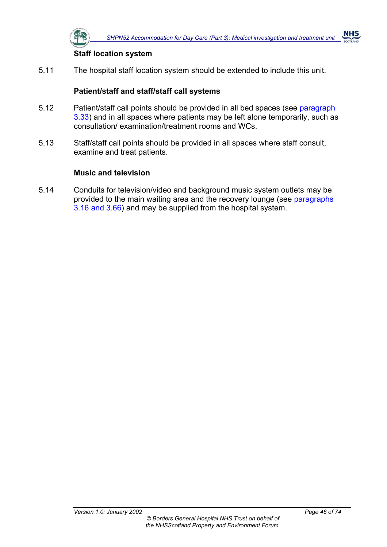

#### **Staff location system**

5.11 The hospital staff location system should be extended to include this unit.

#### **Patient/staff and staff/staff call systems**

- 5.12 Patient/staff call points should be provided in all bed spaces (see [paragraph](#page-31-0)  [3.33\)](#page-31-0) and in all spaces where patients may be left alone temporarily, such as consultation/ examination/treatment rooms and WCs.
- 5.13 Staff/staff call points should be provided in all spaces where staff consult, examine and treat patients.

#### **Music and television**

5.14 Conduits for television/video and background music system outlets may be provided to the main waiting area and the recovery lounge (see [paragraphs](#page-28-0)  [3.16](#page-28-0) and [3.66\)](#page-37-0) and may be supplied from the hospital system.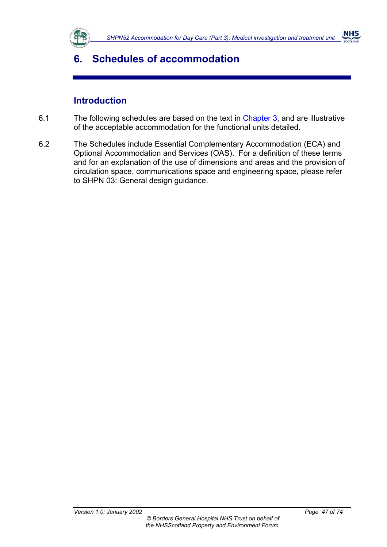<span id="page-46-0"></span>

## **6. Schedules of accommodation**

## **Introduction**

- 6.1 The following schedules are based on the text in [Chapter 3,](#page-25-0) and are illustrative of the acceptable accommodation for the functional units detailed.
- 6.2 The Schedules include Essential Complementary Accommodation (ECA) and Optional Accommodation and Services (OAS). For a definition of these terms and for an explanation of the use of dimensions and areas and the provision of circulation space, communications space and engineering space, please refer to SHPN 03: General design guidance.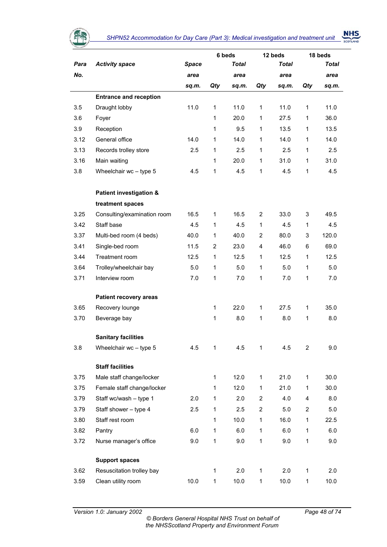

**NHS** 

|      |                               |              |                | 6 beds       | 12 beds                 |              |                         | 18 beds |  |
|------|-------------------------------|--------------|----------------|--------------|-------------------------|--------------|-------------------------|---------|--|
| Para | <b>Activity space</b>         | <b>Space</b> |                | <b>Total</b> |                         | <b>Total</b> |                         | Total   |  |
| No.  |                               | area         |                | area         |                         | area         |                         | area    |  |
|      |                               | sq.m.        | Qty            | sq.m.        | Qty                     | sq.m.        | Qty                     | sq.m.   |  |
|      | <b>Entrance and reception</b> |              |                |              |                         |              |                         |         |  |
| 3.5  | Draught lobby                 | 11.0         | 1              | 11.0         | 1                       | 11.0         | $\mathbf{1}$            | 11.0    |  |
| 3.6  | Foyer                         |              | $\mathbf{1}$   | 20.0         | 1                       | 27.5         | 1                       | 36.0    |  |
| 3.9  | Reception                     |              | 1              | 9.5          | 1                       | 13.5         | 1                       | 13.5    |  |
| 3.12 | General office                | 14.0         | $\mathbf{1}$   | 14.0         | 1                       | 14.0         | $\mathbf{1}$            | 14.0    |  |
| 3.13 | Records trolley store         | 2.5          | $\mathbf{1}$   | 2.5          | 1                       | 2.5          | $\mathbf{1}$            | 2.5     |  |
| 3.16 | Main waiting                  |              | 1              | 20.0         | 1                       | 31.0         | $\mathbf{1}$            | 31.0    |  |
| 3.8  | Wheelchair wc - type 5        | 4.5          | 1              | 4.5          | 1                       | 4.5          | $\mathbf 1$             | 4.5     |  |
|      | Patient investigation &       |              |                |              |                         |              |                         |         |  |
|      | treatment spaces              |              |                |              |                         |              |                         |         |  |
| 3.25 | Consulting/examination room   | 16.5         | 1              | 16.5         | 2                       | 33.0         | 3                       | 49.5    |  |
| 3.42 | Staff base                    | 4.5          | $\mathbf{1}$   | 4.5          | $\mathbf 1$             | 4.5          | $\mathbf{1}$            | 4.5     |  |
| 3.37 | Multi-bed room (4 beds)       | 40.0         | 1              | 40.0         | $\overline{2}$          | 80.0         | 3                       | 120.0   |  |
| 3.41 | Single-bed room               | 11.5         | $\overline{c}$ | 23.0         | 4                       | 46.0         | 6                       | 69.0    |  |
| 3.44 | Treatment room                | 12.5         | $\mathbf{1}$   | 12.5         | 1                       | 12.5         | $\mathbf{1}$            | 12.5    |  |
| 3.64 | Trolley/wheelchair bay        | 5.0          | 1              | 5.0          | 1                       | 5.0          | $\mathbf{1}$            | 5.0     |  |
| 3.71 | Interview room                | 7.0          | 1              | 7.0          | 1                       | 7.0          | 1                       | 7.0     |  |
|      | <b>Patient recovery areas</b> |              |                |              |                         |              |                         |         |  |
| 3.65 | Recovery lounge               |              | $\mathbf{1}$   | 22.0         | 1                       | 27.5         | $\mathbf 1$             | 35.0    |  |
| 3.70 | Beverage bay                  |              | 1              | 8.0          | 1                       | 8.0          | $\mathbf 1$             | 8.0     |  |
|      | <b>Sanitary facilities</b>    |              |                |              |                         |              |                         |         |  |
| 3.8  | Wheelchair wc - type 5        | 4.5          | $\mathbf{1}$   | 4.5          | 1                       | 4.5          | $\overline{\mathbf{c}}$ | 9.0     |  |
|      | <b>Staff facilities</b>       |              |                |              |                         |              |                         |         |  |
| 3.75 | Male staff change/locker      |              | 1              | 12.0         | 1                       | 21.0         | 1                       | 30.0    |  |
| 3.75 | Female staff change/locker    |              | 1              | 12.0         | 1                       | 21.0         | 1                       | 30.0    |  |
| 3.79 | Staff wc/wash - type 1        | 2.0          | 1              | 2.0          | $\overline{\mathbf{c}}$ | 4.0          | 4                       | 8.0     |  |
| 3.79 | Staff shower - type 4         | 2.5          | 1              | 2.5          | $\overline{2}$          | 5.0          | $\overline{2}$          | 5.0     |  |
| 3.80 | Staff rest room               |              | $\mathbf{1}$   | 10.0         | $\mathbf 1$             | 16.0         | $\mathbf 1$             | 22.5    |  |
| 3.82 | Pantry                        | 6.0          | $\mathbf{1}$   | 6.0          | $\mathbf 1$             | 6.0          | $\mathbf 1$             | 6.0     |  |
| 3.72 | Nurse manager's office        | 9.0          | 1              | 9.0          | $\mathbf{1}$            | 9.0          | $\mathbf{1}$            | 9.0     |  |
|      | <b>Support spaces</b>         |              |                |              |                         |              |                         |         |  |
| 3.62 | Resuscitation trolley bay     |              | 1              | 2.0          | $\mathbf{1}$            | 2.0          | $\mathbf{1}$            | 2.0     |  |
| 3.59 | Clean utility room            | 10.0         | 1              | 10.0         | 1                       | 10.0         | 1                       | 10.0    |  |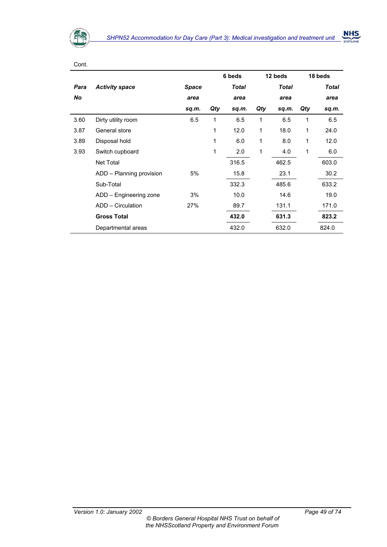

|      |                          |              |     | 6 beds       |     | 12 beds      |     | 18 beds      |
|------|--------------------------|--------------|-----|--------------|-----|--------------|-----|--------------|
| Para | <b>Activity space</b>    | <b>Space</b> |     | <b>Total</b> |     | <b>Total</b> |     | <b>Total</b> |
| No   |                          | area         |     | area         |     | area         |     | area         |
|      |                          | sq.m.        | Qty | sq.m.        | Qty | sq.m.        | Qty | sq.m.        |
| 3.60 | Dirty utility room       | 6.5          | 1   | 6.5          | 1   | 6.5          | 1   | 6.5          |
| 3.87 | General store            |              | 1   | 12.0         | 1   | 18.0         | 1   | 24.0         |
| 3.89 | Disposal hold            |              | 1   | 6.0          | 1   | 8.0          | 1   | 12.0         |
| 3.93 | Switch cupboard          |              | 1   | 2.0          | 1   | 4.0          | 1   | 6.0          |
|      | Net Total                |              |     | 316.5        |     | 462.5        |     | 603.0        |
|      | ADD - Planning provision | 5%           |     | 15.8         |     | 23.1         |     | 30.2         |
|      | Sub-Total                |              |     | 332.3        |     | 485.6        |     | 633.2        |
|      | ADD - Engineering zone   | 3%           |     | 10.0         |     | 14.6         |     | 19.0         |
|      | ADD - Circulation        | 27%          |     | 89.7         |     | 131.1        |     | 171.0        |
|      | <b>Gross Total</b>       |              |     | 432.0        |     | 631.3        |     | 823.2        |
|      | Departmental areas       |              |     | 432.0        |     | 632.0        |     | 824.0        |

Cont. l.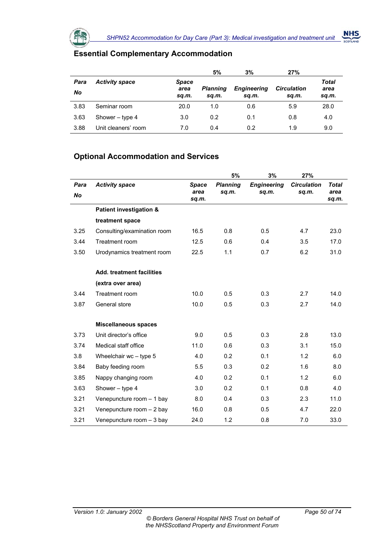### **Essential Complementary Accommodation**

|            |                       |                               | 5%                       | 3%                          | 27%                         |                               |
|------------|-----------------------|-------------------------------|--------------------------|-----------------------------|-----------------------------|-------------------------------|
| Para<br>No | <b>Activity space</b> | <b>Space</b><br>area<br>sq.m. | <b>Planning</b><br>sq.m. | <b>Engineering</b><br>sq.m. | <b>Circulation</b><br>sq.m. | <b>Total</b><br>area<br>sq.m. |
| 3.83       | Seminar room          | 20.0                          | 1.0                      | 0.6                         | 5.9                         | 28.0                          |
| 3.63       | Shower $-$ type 4     | 3.0                           | 0.2                      | 0.1                         | 0.8                         | 4.0                           |
| 3.88       | Unit cleaners' room   | 7.0                           | 0.4                      | 0.2                         | 1.9                         | 9.0                           |

## **Optional Accommodation and Services**

|      |                                  |               | 5%              | 3%                 | 27%                |               |
|------|----------------------------------|---------------|-----------------|--------------------|--------------------|---------------|
| Para | <b>Activity space</b>            | <b>Space</b>  | <b>Planning</b> | <b>Engineering</b> | <b>Circulation</b> | <b>Total</b>  |
| No   |                                  | area<br>sq.m. | sq.m.           | sq.m.              | sq.m.              | area<br>sq.m. |
|      | Patient investigation &          |               |                 |                    |                    |               |
|      | treatment space                  |               |                 |                    |                    |               |
| 3.25 | Consulting/examination room      | 16.5          | 0.8             | 0.5                | 4.7                | 23.0          |
| 3.44 | Treatment room                   | 12.5          | 0.6             | 0.4                | 3.5                | 17.0          |
| 3.50 | Urodynamics treatment room       | 22.5          | 1.1             | 0.7                | 6.2                | 31.0          |
|      | <b>Add. treatment facilities</b> |               |                 |                    |                    |               |
|      | (extra over area)                |               |                 |                    |                    |               |
| 3.44 | Treatment room                   | 10.0          | 0.5             | 0.3                | 2.7                | 14.0          |
|      |                                  |               |                 |                    |                    |               |
| 3.87 | General store                    | 10.0          | 0.5             | 0.3                | 2.7                | 14.0          |
|      | <b>Miscellaneous spaces</b>      |               |                 |                    |                    |               |
| 3.73 | Unit director's office           | 9.0           | 0.5             | 0.3                | 2.8                | 13.0          |
| 3.74 | Medical staff office             | 11.0          | 0.6             | 0.3                | 3.1                | 15.0          |
| 3.8  | Wheelchair wc - type 5           | 4.0           | 0.2             | 0.1                | 1.2                | 6.0           |
| 3.84 | Baby feeding room                | 5.5           | 0.3             | 0.2                | 1.6                | 8.0           |
| 3.85 | Nappy changing room              | 4.0           | 0.2             | 0.1                | 1.2                | 6.0           |
| 3.63 | Shower - type 4                  | 3.0           | 0.2             | 0.1                | 0.8                | 4.0           |
| 3.21 | Venepuncture room - 1 bay        | 8.0           | 0.4             | 0.3                | 2.3                | 11.0          |
| 3.21 | Venepuncture room - 2 bay        | 16.0          | 0.8             | 0.5                | 4.7                | 22.0          |
| 3.21 | Venepuncture room - 3 bay        | 24.0          | 1.2             | 0.8                | 7.0                | 33.0          |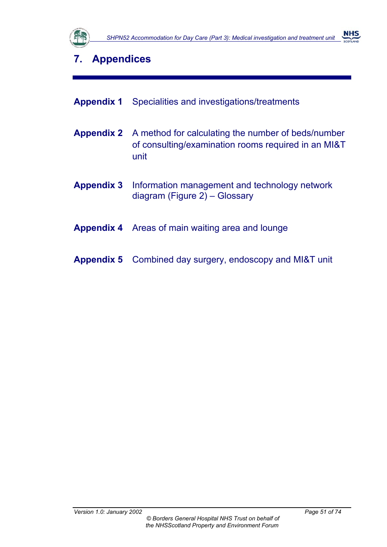

# **7. Appendices**

- **Appendix 1** [Specialities and investigations/treatments](#page-51-0)
- **Appendix 2** A method for calculating the number of beds/number [of consulting/examination rooms required in an MI&T](#page-55-0)  unit
- **Appendix 3** [Information management and technology network](#page-61-0)  diagram (Figure 2) – Glossary
- **Appendix 4** [Areas of main waiting area and lounge](#page-63-0)
- **Appendix 5** [Combined day surgery, endoscopy and MI&T unit](#page-66-0)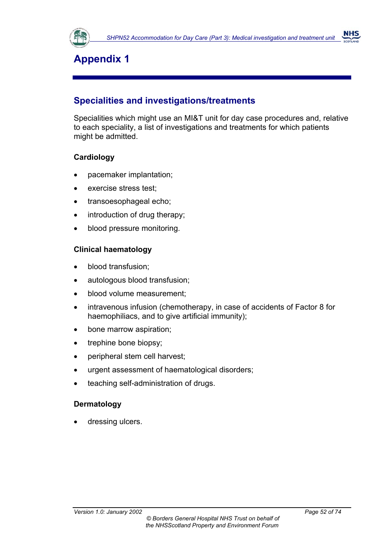<span id="page-51-0"></span>

# **Appendix 1**

## **Specialities and investigations/treatments**

Specialities which might use an MI&T unit for day case procedures and, relative to each speciality, a list of investigations and treatments for which patients might be admitted.

#### **Cardiology**

- pacemaker implantation;
- exercise stress test;
- transoesophageal echo;
- introduction of drug therapy;
- blood pressure monitoring.

#### **Clinical haematology**

- blood transfusion;
- autologous blood transfusion;
- blood volume measurement;
- intravenous infusion (chemotherapy, in case of accidents of Factor 8 for haemophiliacs, and to give artificial immunity);
- bone marrow aspiration;
- trephine bone biopsy;
- peripheral stem cell harvest;
- urgent assessment of haematological disorders;
- teaching self-administration of drugs.

#### **Dermatology**

dressing ulcers.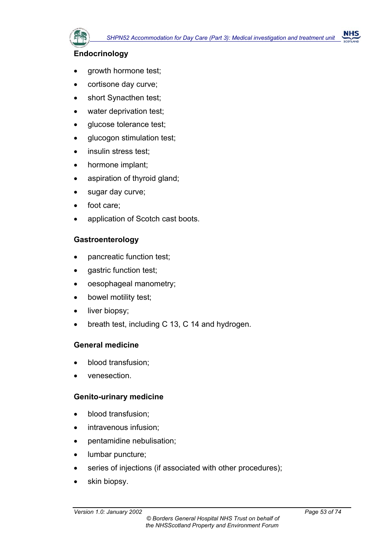

### **Endocrinology**

- growth hormone test;
- cortisone day curve;
- short Synacthen test;
- water deprivation test;
- glucose tolerance test;
- glucogon stimulation test;
- insulin stress test:
- hormone implant;
- aspiration of thyroid gland;
- sugar day curve;
- foot care;
- application of Scotch cast boots.

#### **Gastroenterology**

- pancreatic function test;
- gastric function test;
- oesophageal manometry;
- bowel motility test;
- liver biopsy;
- breath test, including C 13, C 14 and hydrogen.

#### **General medicine**

- blood transfusion;
- venesection.

#### **Genito-urinary medicine**

- blood transfusion;
- intravenous infusion;
- pentamidine nebulisation;
- lumbar puncture;
- series of injections (if associated with other procedures);
- skin biopsy.

**NHS**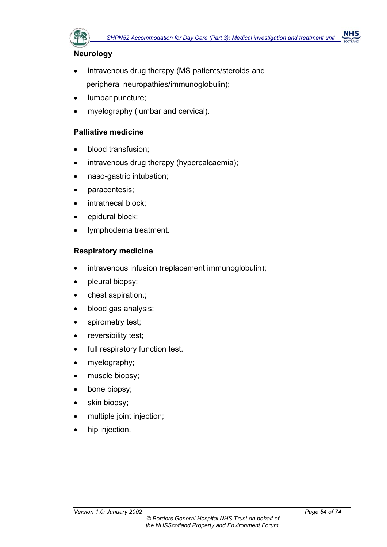

#### **Neurology**

- intravenous drug therapy (MS patients/steroids and peripheral neuropathies/immunoglobulin);
- lumbar puncture;
- myelography (lumbar and cervical).

#### **Palliative medicine**

- blood transfusion;
- intravenous drug therapy (hypercalcaemia);
- naso-gastric intubation;
- paracentesis;
- intrathecal block:
- epidural block;
- lymphodema treatment.

#### **Respiratory medicine**

- intravenous infusion (replacement immunoglobulin);
- pleural biopsy;
- chest aspiration.;
- blood gas analysis;
- spirometry test;
- reversibility test;
- full respiratory function test.
- myelography;
- muscle biopsy;
- bone biopsy;
- skin biopsy;
- multiple joint injection;
- hip injection.

**NHS**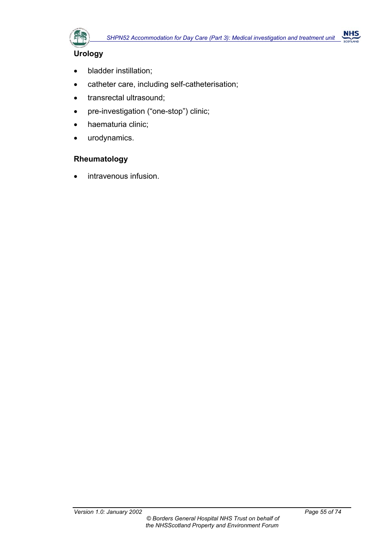

## **Urology**

- bladder instillation;
- catheter care, including self-catheterisation;
- transrectal ultrasound;
- pre-investigation ("one-stop") clinic;
- haematuria clinic;
- urodynamics.

### **Rheumatology**

• intravenous infusion.

**NHS**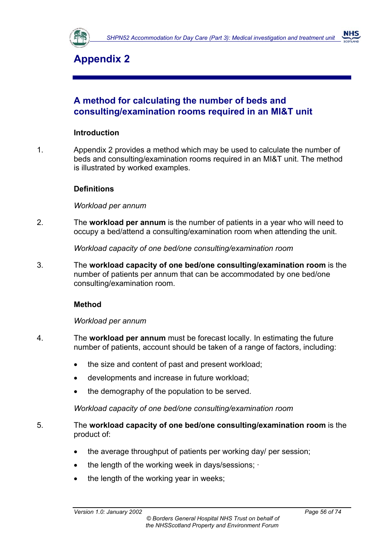<span id="page-55-0"></span>

## **Appendix 2**

## **A method for calculating the number of beds and consulting/examination rooms required in an MI&T unit**

#### **Introduction**

1. Appendix 2 provides a method which may be used to calculate the number of beds and consulting/examination rooms required in an MI&T unit. The method is illustrated by worked examples.

#### **Definitions**

#### *Workload per annum*

2. The **workload per annum** is the number of patients in a year who will need to occupy a bed/attend a consulting/examination room when attending the unit.

*Workload capacity of one bed/one consulting/examination room* 

3. The **workload capacity of one bed/one consulting/examination room** is the number of patients per annum that can be accommodated by one bed/one consulting/examination room.

#### **Method**

#### *Workload per annum*

- 4. The **workload per annum** must be forecast locally. In estimating the future number of patients, account should be taken of a range of factors, including:
	- the size and content of past and present workload;
	- developments and increase in future workload;
	- the demography of the population to be served.

*Workload capacity of one bed/one consulting/examination room* 

- 5. The **workload capacity of one bed/one consulting/examination room** is the product of:
	- the average throughput of patients per working day/ per session;
	- the length of the working week in days/sessions;  $\cdot$
	- the length of the working year in weeks;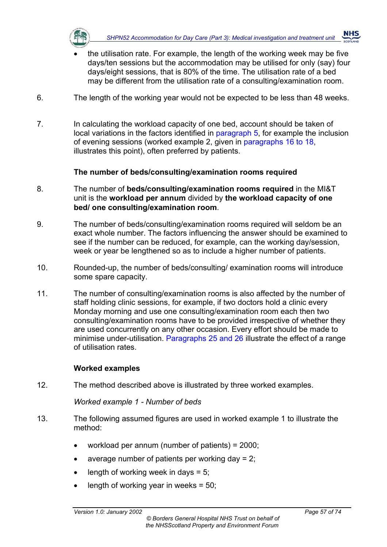

- the utilisation rate. For example, the length of the working week may be five days/ten sessions but the accommodation may be utilised for only (say) four days/eight sessions, that is 80% of the time. The utilisation rate of a bed may be different from the utilisation rate of a consulting/examination room.
- 6. The length of the working year would not be expected to be less than 48 weeks.
- 7. In calculating the workload capacity of one bed, account should be taken of local variations in the factors identified in [paragraph 5,](#page-55-0) for example the inclusion of evening sessions (worked example 2, given in [paragraphs 16 to 18,](#page-57-0)  illustrates this point), often preferred by patients.

#### **The number of beds/consulting/examination rooms required**

- 8. The number of **beds/consulting/examination rooms required** in the MI&T unit is the **workload per annum** divided by **the workload capacity of one bed/ one consulting/examination room**.
- 9. The number of beds/consulting/examination rooms required will seldom be an exact whole number. The factors influencing the answer should be examined to see if the number can be reduced, for example, can the working day/session, week or year be lengthened so as to include a higher number of patients.
- 10. Rounded-up, the number of beds/consulting/ examination rooms will introduce some spare capacity.
- 11. The number of consulting/examination rooms is also affected by the number of staff holding clinic sessions, for example, if two doctors hold a clinic every Monday morning and use one consulting/examination room each then two consulting/examination rooms have to be provided irrespective of whether they are used concurrently on any other occasion. Every effort should be made to minimise under-utilisation. [Paragraphs 25 and 26](#page-59-0) illustrate the effect of a range of utilisation rates.

#### **Worked examples**

12. The method described above is illustrated by three worked examples.

*Worked example 1 - Number of beds* 

- 13. The following assumed figures are used in worked example 1 to illustrate the method:
	- workload per annum (number of patients) =  $2000$ ;
	- average number of patients per working day  $= 2$ ;
	- length of working week in days  $= 5$ ;
	- length of working year in weeks  $= 50$ ;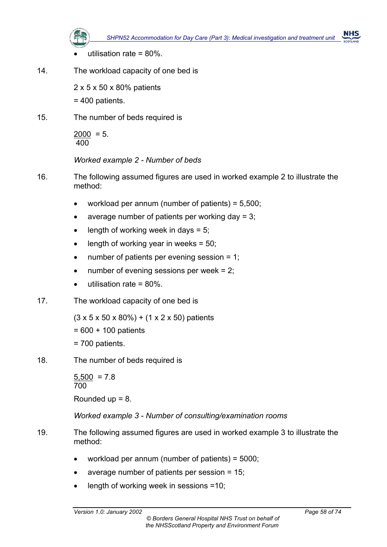*SHPN52 Accommodation for Day Care (Part 3): Medical investigation and treatment unit* 

- utilisation rate = 80%.
- <span id="page-57-0"></span>14. The workload capacity of one bed is

2 x 5 x 50 x 80% patients

= 400 patients.

15. The number of beds required is

 $2000 = 5$ . 400

*Worked example 2 - Number of beds* 

16. The following assumed figures are used in worked example 2 to illustrate the method:

- workload per annum (number of patients) =  $5.500$ ;
- average number of patients per working day  $= 3$ ;
- length of working week in days  $= 5$ ;
- length of working year in weeks  $= 50$ ;
- number of patients per evening session  $= 1$ ;
- number of evening sessions per week  $= 2$ ;
- utilisation rate =  $80\%$ .
- 17. The workload capacity of one bed is

 $(3 \times 5 \times 50 \times 80\%) + (1 \times 2 \times 50)$  patients

= 600 + 100 patients

= 700 patients.

18. The number of beds required is

 $5,500 = 7.8$ 700 Rounded up  $= 8$ .

*Worked example 3 - Number of consulting/examination rooms* 

- 19. The following assumed figures are used in worked example 3 to illustrate the method:
	- workload per annum (number of patients) =  $5000$ ;
	- average number of patients per session = 15;
	- length of working week in sessions =10;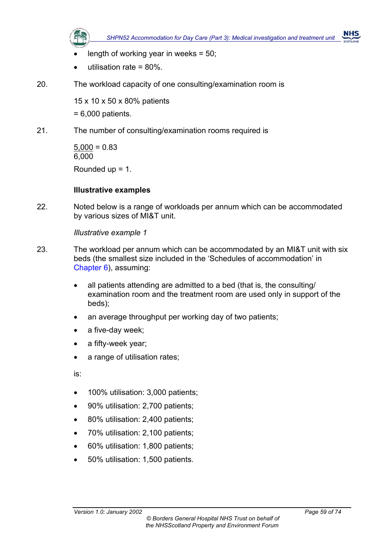

- length of working year in weeks  $= 50$ ;
- utilisation rate  $= 80\%$ .

20. The workload capacity of one consulting/examination room is

15 x 10 x 50 x 80% patients

 $= 6,000$  patients.

21. The number of consulting/examination rooms required is

 $5.000 = 0.83$ 6,000 Rounded up = 1.

#### **Illustrative examples**

22. Noted below is a range of workloads per annum which can be accommodated by various sizes of MI&T unit.

*Illustrative example 1* 

- 23. The workload per annum which can be accommodated by an MI&T unit with six beds (the smallest size included in the 'Schedules of accommodation' in [Chapter 6\)](#page-46-0), assuming:
	- all patients attending are admitted to a bed (that is, the consulting/ examination room and the treatment room are used only in support of the beds);
	- an average throughput per working day of two patients;
	- a five-day week;
	- a fifty-week year;
	- a range of utilisation rates;

is:

- 100% utilisation: 3,000 patients;
- 90% utilisation: 2,700 patients;
- 80% utilisation: 2,400 patients;
- 70% utilisation: 2,100 patients;
- 60% utilisation: 1,800 patients;
- 50% utilisation: 1,500 patients.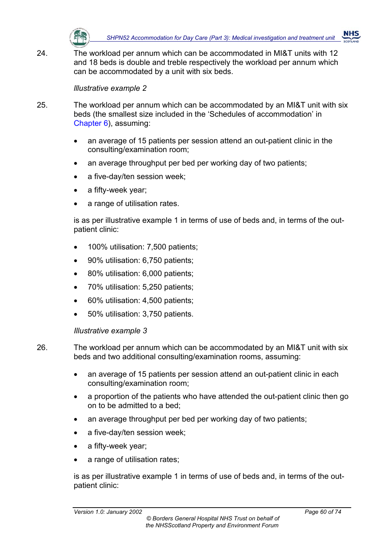- 
- <span id="page-59-0"></span>24. The workload per annum which can be accommodated in MI&T units with 12 and 18 beds is double and treble respectively the workload per annum which can be accommodated by a unit with six beds.

*lllustrative example 2* 

- 25. The workload per annum which can be accommodated by an MI&T unit with six beds (the smallest size included in the 'Schedules of accommodation' in [Chapter 6\)](#page-46-0), assuming:
	- an average of 15 patients per session attend an out-patient clinic in the consulting/examination room;
	- an average throughput per bed per working day of two patients;
	- a five-day/ten session week;
	- a fifty-week year;
	- a range of utilisation rates.

is as per illustrative example 1 in terms of use of beds and, in terms of the outpatient clinic:

- 100% utilisation: 7,500 patients;
- 90% utilisation: 6,750 patients;
- 80% utilisation: 6,000 patients;
- 70% utilisation: 5,250 patients;
- 60% utilisation: 4,500 patients;
- 50% utilisation: 3,750 patients.

#### *Illustrative example 3*

- 26. The workload per annum which can be accommodated by an MI&T unit with six beds and two additional consulting/examination rooms, assuming:
	- an average of 15 patients per session attend an out-patient clinic in each consulting/examination room;
	- a proportion of the patients who have attended the out-patient clinic then go on to be admitted to a bed;
	- an average throughput per bed per working day of two patients;
	- a five-day/ten session week;
	- a fifty-week year;
	- a range of utilisation rates;

is as per illustrative example 1 in terms of use of beds and, in terms of the outpatient clinic: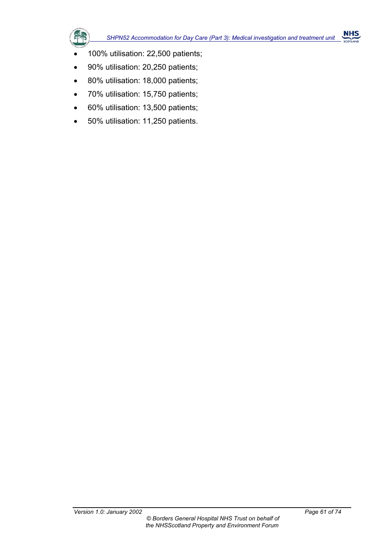

- 100% utilisation: 22,500 patients;
- 90% utilisation: 20,250 patients;
- 80% utilisation: 18,000 patients;
- 70% utilisation: 15,750 patients;
- 60% utilisation: 13,500 patients;
- 50% utilisation: 11,250 patients.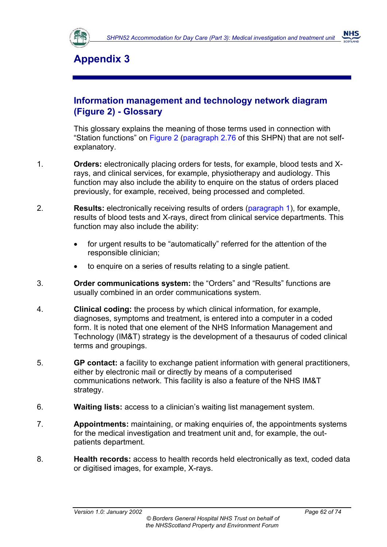<span id="page-61-0"></span>

# **Appendix 3**

## **Information management and technology network diagram (Figure 2) - Glossary**

This glossary explains the meaning of those terms used in connection with "Station functions" on [Figure 2 \(paragraph 2.76](#page-24-0) of this SHPN) that are not selfexplanatory.

- $\mathbf 1$ 1. **Orders:** electronically placing orders for tests, for example, blood tests and Xrays, and clinical services, for example, physiotherapy and audiology. This function may also include the ability to enquire on the status of orders placed previously, for example, received, being processed and completed.
- 2. **Results:** electronically receiving results of orders (paragraph 1), for example, results of blood tests and X-rays, direct from clinical service departments. This function may also include the ability:
	- for urgent results to be "automatically" referred for the attention of the responsible clinician;
	- to enquire on a series of results relating to a single patient.
- $3<sub>l</sub>$ **Order communications system:** the "Orders" and "Results" functions are usually combined in an order communications system.
- 4. **Clinical coding:** the process by which clinical information, for example, diagnoses, symptoms and treatment, is entered into a computer in a coded form. It is noted that one element of the NHS Information Management and Technology (IM&T) strategy is the development of a thesaurus of coded clinical terms and groupings.
- 5. **GP contact:** a facility to exchange patient information with general practitioners, either by electronic mail or directly by means of a computerised communications network. This facility is also a feature of the NHS IM&T strategy.
- Waiting lists: access to a clinician's waiting list management system.
- 7. **Appointments:** maintaining, or making enquiries of, the appointments systems for the medical investigation and treatment unit and, for example, the outpatients department.
- **Health records:** access to health records held electronically as text, coded data or digitised images, for example, X-rays.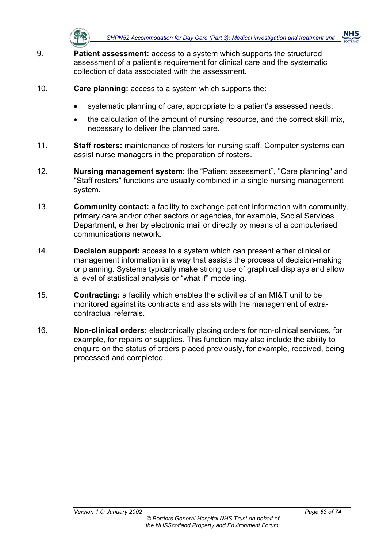

- **Patient assessment:** access to a system which supports the structured assessment of a patient's requirement for clinical care and the systematic collection of data associated with the assessment.
- 10. **Care planning:** access to a system which supports the:
	- systematic planning of care, appropriate to a patient's assessed needs;
	- the calculation of the amount of nursing resource, and the correct skill mix, necessary to deliver the planned care.
- 11. **Staff rosters:** maintenance of rosters for nursing staff. Computer systems can assist nurse managers in the preparation of rosters.
- 12. **Nursing management system:** the "Patient assessment", "Care planning" and "Staff rosters" functions are usually combined in a single nursing management system.
- 13. **Community contact:** a facility to exchange patient information with community, primary care and/or other sectors or agencies, for example, Social Services Department, either by electronic mail or directly by means of a computerised communications network.
- 14. **Decision support:** access to a system which can present either clinical or management information in a way that assists the process of decision-making or planning. Systems typically make strong use of graphical displays and allow a level of statistical analysis or "what if" modelling.
- 15. **Contracting:** a facility which enables the activities of an MI&T unit to be monitored against its contracts and assists with the management of extracontractual referrals.
- 16. **Non-clinical orders:** electronically placing orders for non-clinical services, for example, for repairs or supplies. This function may also include the ability to enquire on the status of orders placed previously, for example, received, being processed and completed.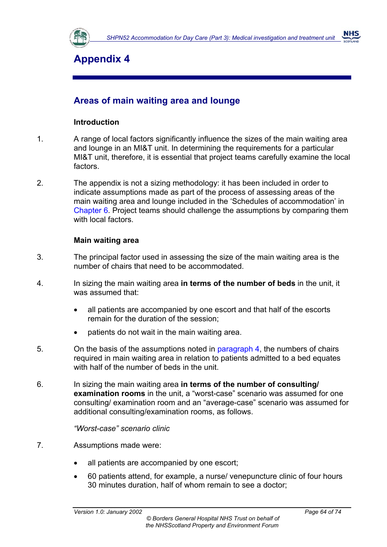<span id="page-63-0"></span>

## **Appendix 4**

## **Areas of main waiting area and lounge**

#### **Introduction**

- 1. A range of local factors significantly influence the sizes of the main waiting area and lounge in an MI&T unit. In determining the requirements for a particular MI&T unit, therefore, it is essential that project teams carefully examine the local factors.
- 2. The appendix is not a sizing methodology: it has been included in order to indicate assumptions made as part of the process of assessing areas of the main waiting area and lounge included in the 'Schedules of accommodation' in [Chapter 6.](#page-46-0) Project teams should challenge the assumptions by comparing them with local factors.

#### **Main waiting area**

- The principal factor used in assessing the size of the main waiting area is the number of chairs that need to be accommodated.
- 4. In sizing the main waiting area **in terms of the number of beds** in the unit, it was assumed that:
	- all patients are accompanied by one escort and that half of the escorts remain for the duration of the session;
	- patients do not wait in the main waiting area.
- 5. On the basis of the assumptions noted in paragraph 4, the numbers of chairs required in main waiting area in relation to patients admitted to a bed equates with half of the number of beds in the unit.
- 6. In sizing the main waiting area **in terms of the number of consulting/ examination rooms** in the unit, a "worst-case" scenario was assumed for one consulting/ examination room and an "average-case" scenario was assumed for additional consulting/examination rooms, as follows.

*"Worst-case" scenario clinic* 

- 7. Assumptions made were:
	- all patients are accompanied by one escort;
	- 60 patients attend, for example, a nurse/ venepuncture clinic of four hours 30 minutes duration, half of whom remain to see a doctor;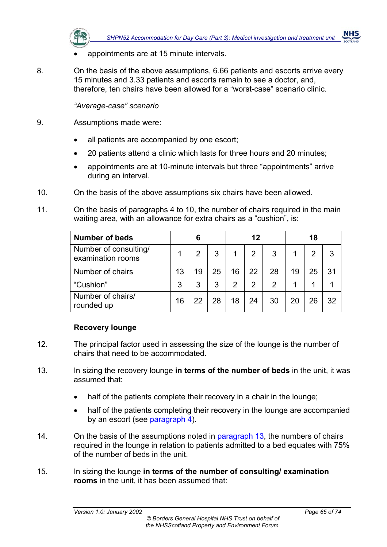

- appointments are at 15 minute intervals.
- 8. On the basis of the above assumptions, 6.66 patients and escorts arrive every 15 minutes and 3.33 patients and escorts remain to see a doctor, and, therefore, ten chairs have been allowed for a "worst-case" scenario clinic.

*"Average-case" scenario* 

- 9. Assumptions made were:
	- all patients are accompanied by one escort;
	- 20 patients attend a clinic which lasts for three hours and 20 minutes;
	- appointments are at 10-minute intervals but three "appointments" arrive during an interval.
- 10. On the basis of the above assumptions six chairs have been allowed.
- 11. On the basis of paragraphs 4 to 10, the number of chairs required in the main waiting area, with an allowance for extra chairs as a "cushion", is:

| <b>Number of beds</b>                      | 12<br>6 |    |    |    | 18            |               |    |    |    |
|--------------------------------------------|---------|----|----|----|---------------|---------------|----|----|----|
| Number of consulting/<br>examination rooms |         | 2  | 3  |    | $\mathcal{P}$ | 3             |    | 2  | 3  |
| Number of chairs                           | 13      | 19 | 25 | 16 | 22            | 28            | 19 | 25 | 31 |
| "Cushion"                                  | 3       | 3  | 3  | 2  | $\mathcal{P}$ | $\mathcal{P}$ |    |    |    |
| Number of chairs/<br>rounded up            | 16      | 22 | 28 | 18 | 24            | 30            | 20 | 26 | 32 |

#### **Recovery lounge**

- 12. The principal factor used in assessing the size of the lounge is the number of chairs that need to be accommodated.
- 13. In sizing the recovery lounge **in terms of the number of beds** in the unit, it was assumed that:
	- half of the patients complete their recovery in a chair in the lounge:
	- half of the patients completing their recovery in the lounge are accompanied by an escort (see [paragraph 4\)](#page-63-0).
- 14. On the basis of the assumptions noted in paragraph 13, the numbers of chairs required in the lounge in relation to patients admitted to a bed equates with 75% of the number of beds in the unit.
- 15. In sizing the lounge **in terms of the number of consulting/ examination rooms** in the unit, it has been assumed that: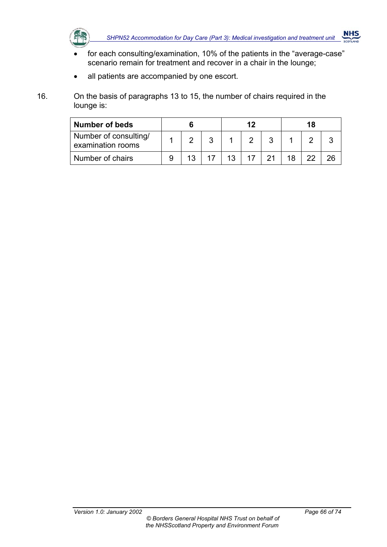

- for each consulting/examination, 10% of the patients in the "average-case" scenario remain for treatment and recover in a chair in the lounge;
- all patients are accompanied by one escort.
- 16. On the basis of paragraphs 13 to 15, the number of chairs required in the lounge is:

| Number of beds                             |  |    |  | 12 |    | 18 |  |  |
|--------------------------------------------|--|----|--|----|----|----|--|--|
| Number of consulting/<br>examination rooms |  |    |  |    |    |    |  |  |
| Number of chairs                           |  | 13 |  |    | 21 |    |  |  |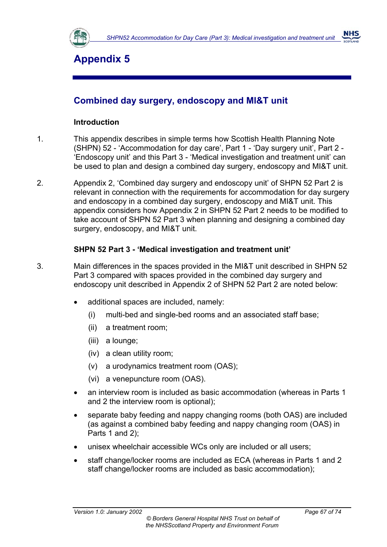<span id="page-66-0"></span>

# **Appendix 5**

## **Combined day surgery, endoscopy and Ml&T unit**

#### **Introduction**

- 1. This appendix describes in simple terms how Scottish Health Planning Note (SHPN) 52 - 'Accommodation for day care', Part 1 - 'Day surgery unit', Part 2 - 'Endoscopy unit' and this Part 3 - 'Medical investigation and treatment unit' can be used to plan and design a combined day surgery, endoscopy and MI&T unit.
- 2. Appendix 2, 'Combined day surgery and endoscopy unit' of SHPN 52 Part 2 is relevant in connection with the requirements for accommodation for day surgery and endoscopy in a combined day surgery, endoscopy and MI&T unit. This appendix considers how Appendix 2 in SHPN 52 Part 2 needs to be modified to take account of SHPN 52 Part 3 when planning and designing a combined day surgery, endoscopy, and MI&T unit.

#### **SHPN 52 Part 3 - 'Medical investigation and treatment unit'**

- 3. Main differences in the spaces provided in the MI&T unit described in SHPN 52 Part 3 compared with spaces provided in the combined day surgery and endoscopy unit described in Appendix 2 of SHPN 52 Part 2 are noted below:
	- additional spaces are included, namely:
		- (i) multi-bed and single-bed rooms and an associated staff base;
		- (ii) a treatment room;
		- (iii) a lounge;
		- (iv) a clean utility room;
		- (v) a urodynamics treatment room (OAS);
		- (vi) a venepuncture room (OAS).
	- an interview room is included as basic accommodation (whereas in Parts 1 and 2 the interview room is optional);
	- separate baby feeding and nappy changing rooms (both OAS) are included (as against a combined baby feeding and nappy changing room (OAS) in Parts 1 and 2);
	- unisex wheelchair accessible WCs only are included or all users;
	- staff change/locker rooms are included as ECA (whereas in Parts 1 and 2 staff change/locker rooms are included as basic accommodation);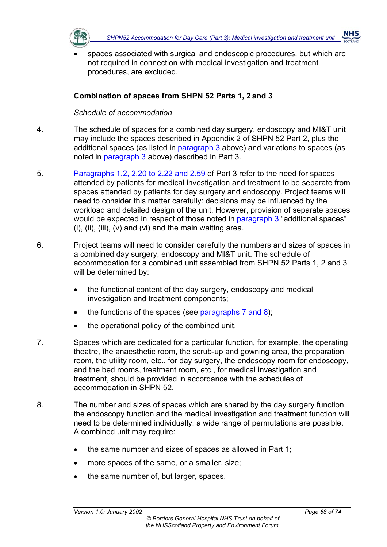

• spaces associated with surgical and endoscopic procedures, but which are not required in connection with medical investigation and treatment procedures, are excluded.

#### **Combination of spaces from SHPN 52 Parts 1, 2 and 3**

#### *Schedule of accommodation*

- 4. The schedule of spaces for a combined day surgery, endoscopy and MI&T unit may include the spaces described in Appendix 2 of SHPN 52 Part 2, plus the additional spaces (as listed in [paragraph 3](#page-66-0) above) and variations to spaces (as noted in [paragraph 3](#page-66-0) above) described in Part 3.
- 5. [Paragraphs 1.2,](#page-6-0) [2.20 to 2.22](#page-13-0) and [2.59](#page-20-0) of Part 3 refer to the need for spaces attended by patients for medical investigation and treatment to be separate from spaces attended by patients for day surgery and endoscopy. Project teams will need to consider this matter carefully: decisions may be influenced by the workload and detailed design of the unit. However, provision of separate spaces would be expected in respect of those noted in [paragraph 3](#page-66-0) "additional spaces"  $(i)$ ,  $(ii)$ ,  $(iii)$ ,  $(v)$  and  $(vi)$  and the main waiting area.
- 6. Project teams will need to consider carefully the numbers and sizes of spaces in a combined day surgery, endoscopy and MI&T unit. The schedule of accommodation for a combined unit assembled from SHPN 52 Parts 1, 2 and 3 will be determined by:
	- the functional content of the day surgery, endoscopy and medical investigation and treatment components;
	- the functions of the spaces (see paragraphs 7 and 8);
	- the operational policy of the combined unit.
- 7. Spaces which are dedicated for a particular function, for example, the operating theatre, the anaesthetic room, the scrub-up and gowning area, the preparation room, the utility room, etc., for day surgery, the endoscopy room for endoscopy, and the bed rooms, treatment room, etc., for medical investigation and treatment, should be provided in accordance with the schedules of accommodation in SHPN 52.
- 8. The number and sizes of spaces which are shared by the day surgery function, the endoscopy function and the medical investigation and treatment function will need to be determined individually: a wide range of permutations are possible. A combined unit may require:
	- the same number and sizes of spaces as allowed in Part 1;
	- more spaces of the same, or a smaller, size;
	- the same number of, but larger, spaces.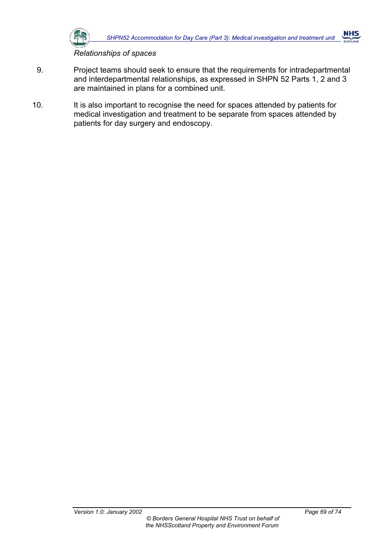

#### *Relationships of spaces*

- 9. Project teams should seek to ensure that the requirements for intradepartmental and interdepartmental relationships, as expressed in SHPN 52 Parts 1, 2 and 3 are maintained in plans for a combined unit.
- 10. It is also important to recognise the need for spaces attended by patients for medical investigation and treatment to be separate from spaces attended by patients for day surgery and endoscopy.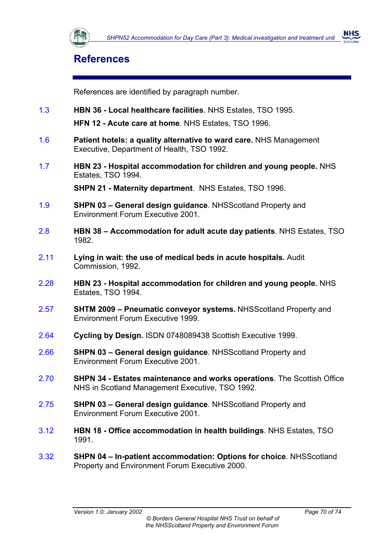

## **References**

References are identified by paragraph number.

[1.3](#page-6-0) **HBN 36 - Local healthcare facilities**. NHS Estates, TSO 1995.

**HFN 12 - Acute care at home**. NHS Estates, TSO 1996.

- [1.6](#page-7-0) **Patient hotels: a quality alternative to ward care.** NHS Management Executive, Department of Health, TSO 1992.
- [1.7](#page-7-0) **HBN 23 Hospital accommodation for children and young people.** NHS Estates, TSO 1994.

**SHPN 21 - Maternity department**. NHS Estates, TSO 1996.

- [1.9](#page-8-0) **SHPN 03 General design guidance**. NHSScotland Property and Environment Forum Executive 2001.
- [2.8](#page-10-0) **HBN 38 Accommodation for adult acute day patients**. NHS Estates, TSO 1982.
- [2.11](#page-11-0) **Lying in wait: the use of medical beds in acute hospitals.** Audit Commission, 1992.
- [2.28](#page-14-0) **HBN 23 Hospital accommodation for children and young people.** NHS Estates, TSO 1994.
- [2.57](#page-20-0) **SHTM 2009 Pneumatic conveyor systems.** NHSScotland Property and Environment Forum Executive 1999.
- [2.64](#page-21-0) **Cycling by Design.** ISDN 0748089438 Scottish Executive 1999.
- [2.66](#page-22-0) **SHPN 03 General design guidance**. NHSScotland Property and Environment Forum Executive 2001.
- [2.70](#page-22-0) **SHPN 34 Estates maintenance and works operations**. The Scottish Office NHS in Scotland Management Executive, TSO 1992.
- [2.75](#page-23-0) **SHPN 03 General design guidance**. NHSScotland Property and Environment Forum Executive 2001.
- [3.12](#page-28-0) **HBN 18 Office accommodation in health buildings**. NHS Estates, TSO 1991.
- [3.32](#page-31-0) **SHPN 04 In-patient accommodation: Options for choice**. NHSScotland Property and Environment Forum Executive 2000.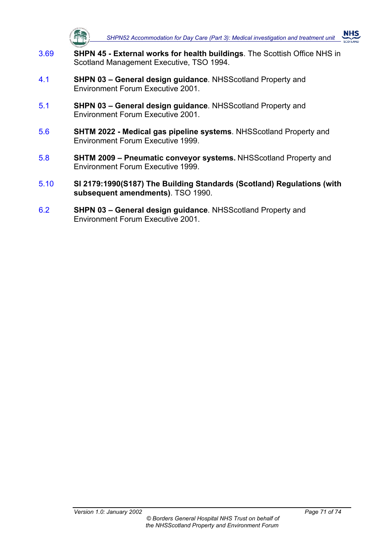

- [3.69](#page-37-0) **SHPN 45 External works for health buildings**. The Scottish Office NHS in Scotland Management Executive, TSO 1994.
- [4.1](#page-42-0) **SHPN 03 General design guidance**. NHSScotland Property and Environment Forum Executive 2001.
- [5.1](#page-43-0) **SHPN 03 General design guidance**. NHSScotland Property and Environment Forum Executive 2001.
- [5.6](#page-44-0) **SHTM 2022 Medical gas pipeline systems**. NHSScotland Property and Environment Forum Executive 1999.
- [5.8](#page-44-0) **SHTM 2009 Pneumatic conveyor systems.** NHSScotland Property and Environment Forum Executive 1999.
- [5.10](#page-44-0) **SI 2179:1990(S187) The Building Standards (Scotland) Regulations (with subsequent amendments)**. TSO 1990.
- [6.2](#page-46-0) **SHPN 03 General design guidance**. NHSScotland Property and Environment Forum Executive 2001.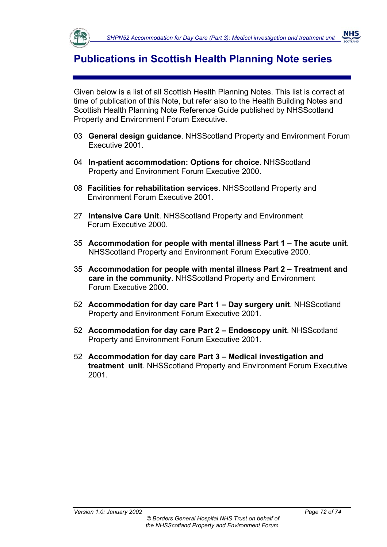

## **Publications in Scottish Health Planning Note series**

Given below is a list of all Scottish Health Planning Notes. This list is correct at time of publication of this Note, but refer also to the Health Building Notes and Scottish Health Planning Note Reference Guide published by NHSScotland Property and Environment Forum Executive.

- 03 **General design guidance**. NHSScotland Property and Environment Forum Executive 2001.
- 04 **In-patient accommodation: Options for choice**. NHSScotland Property and Environment Forum Executive 2000.
- 08 **Facilities for rehabilitation services**. NHSScotland Property and Environment Forum Executive 2001.
- 27 **Intensive Care Unit**. NHSScotland Property and Environment Forum Executive 2000.
- 35 **Accommodation for people with mental illness Part 1 The acute unit**. NHSScotland Property and Environment Forum Executive 2000.
- 35 **Accommodation for people with mental illness Part 2 Treatment and care in the community**. NHSScotland Property and Environment Forum Executive 2000.
- 52 **Accommodation for day care Part 1 Day surgery unit**. NHSScotland Property and Environment Forum Executive 2001.
- 52 **Accommodation for day care Part 2 Endoscopy unit**. NHSScotland Property and Environment Forum Executive 2001.
- 52 **Accommodation for day care Part 3 Medical investigation and treatment unit**. NHSScotland Property and Environment Forum Executive 2001.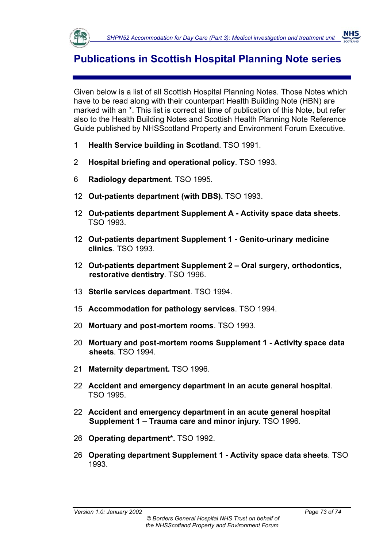

## **Publications in Scottish Hospital Planning Note series**

Given below is a list of all Scottish Hospital Planning Notes. Those Notes which have to be read along with their counterpart Health Building Note (HBN) are marked with an \*. This list is correct at time of publication of this Note, but refer also to the Health Building Notes and Scottish Health Planning Note Reference Guide published by NHSScotland Property and Environment Forum Executive.

- 1 **Health Service building in Scotland**. TSO 1991.
- 2 **Hospital briefing and operational policy**. TSO 1993.
- 6 **Radiology department**. TSO 1995.
- 12 **Out-patients department (with DBS).** TSO 1993.
- 12 **Out-patients department Supplement A Activity space data sheets**. TSO 1993.
- 12 **Out-patients department Supplement 1 Genito-urinary medicine clinics**. TSO 1993.
- 12 **Out-patients department Supplement 2 Oral surgery, orthodontics, restorative dentistry**. TSO 1996.
- 13 **Sterile services department**. TSO 1994.
- 15 **Accommodation for pathology services**. TSO 1994.
- 20 **Mortuary and post-mortem rooms**. TSO 1993.
- 20 **Mortuary and post-mortem rooms Supplement 1 Activity space data sheets**. TSO 1994.
- 21 **Maternity department.** TSO 1996.
- 22 **Accident and emergency department in an acute general hospital**. TSO 1995.
- 22 **Accident and emergency department in an acute general hospital Supplement 1 – Trauma care and minor injury**. TSO 1996.
- 26 **Operating department\*.** TSO 1992.
- 26 **Operating department Supplement 1 Activity space data sheets**. TSO 1993.

*Version 1.0: January 2002 Page 73 of 74*